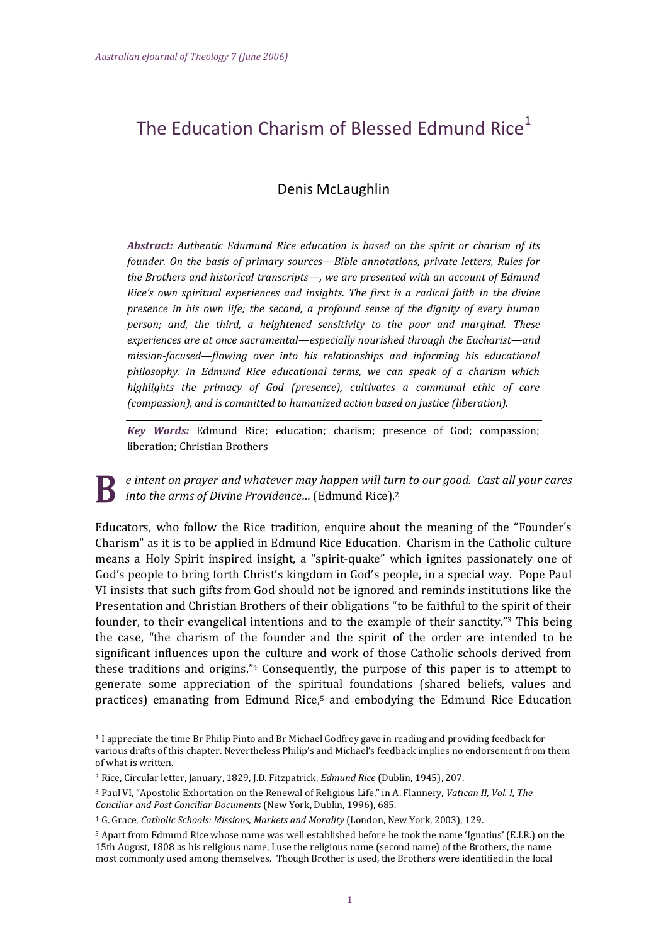# The Education Charism of Blessed Edmund Rice $1$

# Denis McLaughlin

*Abstract: Authentic Edumund Rice education is based on the spirit or charism of its founder. On the basis of primary sources—Bible annotations, private letters, Rules for the Brothers and historical transcripts—, we are presented with an account of Edmund Rice's own spiritual experiences and insights. The first is a radical faith in the divine presence in his own life; the second, a profound sense of the dignity of every human person; and, the third, a heightened sensitivity to the poor and marginal. These experiences are at once sacramental—especially nourished through the Eucharist—and mission-focused—flowing over into his relationships and informing his educational philosophy. In Edmund Rice educational terms, we can speak of a charism which highlights the primacy of God (presence), cultivates a communal ethic of care (compassion), and is committed to humanized action based on justice (liberation).*

*Key Words:* Edmund Rice; education; charism; presence of God; compassion; liberation; Christian Brothers

*e intent on prayer and whatever may happen will turn to our good. Cast all your cares into the arms of Divine Providence…* (Edmund Rice). 2

Educators, who follow the Rice tradition, enquire about the meaning of the "Founder's Charism" as it is to be applied in Edmund Rice Education. Charism in the Catholic culture means a Holy Spirit inspired insight, a "spirit-quake" which ignites passionately one of God's people to bring forth Christ's kingdom in God's people, in a special way. Pope Paul VI insists that such gifts from God should not be ignored and reminds institutions like the Presentation and Christian Brothers of their obligations "to be faithful to the spirit of their founder, to their evangelical intentions and to the example of their sanctity."<sup>3</sup> This being the case, "the charism of the founder and the spirit of the order are intended to be significant influences upon the culture and work of those Catholic schools derived from these traditions and origins."<sup>4</sup> Consequently, the purpose of this paper is to attempt to generate some appreciation of the spiritual foundations (shared beliefs, values and practices) emanating from Edmund Rice, <sup>5</sup> and embodying the Edmund Rice Education

<sup>1</sup> I appreciate the time Br Philip Pinto and Br Michael Godfrey gave in reading and providing feedback for various drafts of this chapter. Nevertheless Philip's and Michael's feedback implies no endorsement from them of what is written.

<sup>2</sup> Rice, Circular letter, January, 1829, J.D. Fitzpatrick, *Edmund Rice* (Dublin, 1945), 207.

<sup>3</sup> Paul VI, "Apostolic Exhortation on the Renewal of Religious Life," in A. Flannery, *Vatican II, Vol. I, The Conciliar and Post Conciliar Documents* (New York, Dublin, 1996), 685.

<sup>4</sup> G. Grace, *Catholic Schools: Missions, Markets and Morality* (London, New York, 2003), 129.

<sup>5</sup> Apart from Edmund Rice whose name was well established before he took the name 'Ignatius' (E.I.R.) on the 15th August, 1808 as his religious name, I use the religious name (second name) of the Brothers, the name most commonly used among themselves. Though Brother is used, the Brothers were identified in the local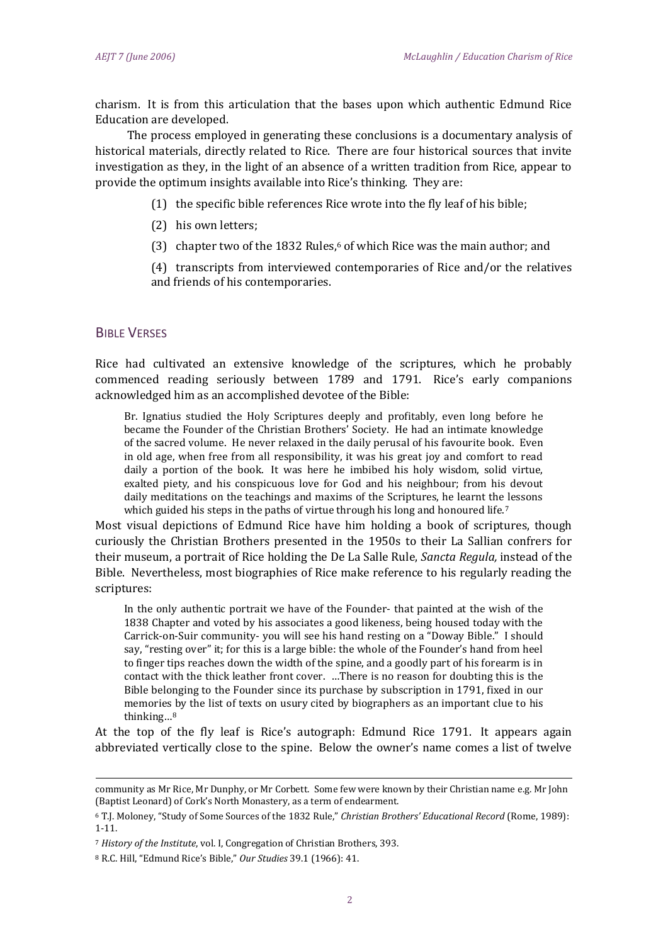charism. It is from this articulation that the bases upon which authentic Edmund Rice Education are developed.

The process employed in generating these conclusions is a documentary analysis of historical materials, directly related to Rice. There are four historical sources that invite investigation as they, in the light of an absence of a written tradition from Rice, appear to provide the optimum insights available into Rice's thinking. They are:

- (1) the specific bible references Rice wrote into the fly leaf of his bible;
- (2) his own letters;
- (3) chapter two of the 1832 Rules, <sup>6</sup> of which Rice was the main author; and

(4) transcripts from interviewed contemporaries of Rice and/or the relatives and friends of his contemporaries.

## BIBLE VERSES

-

Rice had cultivated an extensive knowledge of the scriptures, which he probably commenced reading seriously between 1789 and 1791. Rice's early companions acknowledged him as an accomplished devotee of the Bible:

Br. Ignatius studied the Holy Scriptures deeply and profitably, even long before he became the Founder of the Christian Brothers' Society. He had an intimate knowledge of the sacred volume. He never relaxed in the daily perusal of his favourite book. Even in old age, when free from all responsibility, it was his great joy and comfort to read daily a portion of the book. It was here he imbibed his holy wisdom, solid virtue, exalted piety, and his conspicuous love for God and his neighbour; from his devout daily meditations on the teachings and maxims of the Scriptures, he learnt the lessons which guided his steps in the paths of virtue through his long and honoured life.<sup>7</sup>

Most visual depictions of Edmund Rice have him holding a book of scriptures, though curiously the Christian Brothers presented in the 1950s to their La Sallian confrers for their museum, a portrait of Rice holding the De La Salle Rule, *Sancta Regula,* instead of the Bible. Nevertheless, most biographies of Rice make reference to his regularly reading the scriptures:

In the only authentic portrait we have of the Founder- that painted at the wish of the 1838 Chapter and voted by his associates a good likeness, being housed today with the Carrick-on-Suir community- you will see his hand resting on a "Doway Bible." I should say, "resting over" it; for this is a large bible: the whole of the Founder's hand from heel to finger tips reaches down the width of the spine, and a goodly part of his forearm is in contact with the thick leather front cover. …There is no reason for doubting this is the Bible belonging to the Founder since its purchase by subscription in 1791, fixed in our memories by the list of texts on usury cited by biographers as an important clue to his thinking…<sup>8</sup>

At the top of the fly leaf is Rice's autograph: Edmund Rice 1791. It appears again abbreviated vertically close to the spine. Below the owner's name comes a list of twelve

community as Mr Rice, Mr Dunphy, or Mr Corbett. Some few were known by their Christian name e.g. Mr John (Baptist Leonard) of Cork's North Monastery, as a term of endearment.

<sup>6</sup> T.J. Moloney, "Study of Some Sources of the 1832 Rule," *Christian Brothers' Educational Record* (Rome, 1989): 1-11.

<sup>7</sup> *History of the Institute*, vol. I, Congregation of Christian Brothers, 393.

<sup>8</sup> R.C. Hill, "Edmund Rice's Bible," *Our Studies* 39.1 (1966): 41.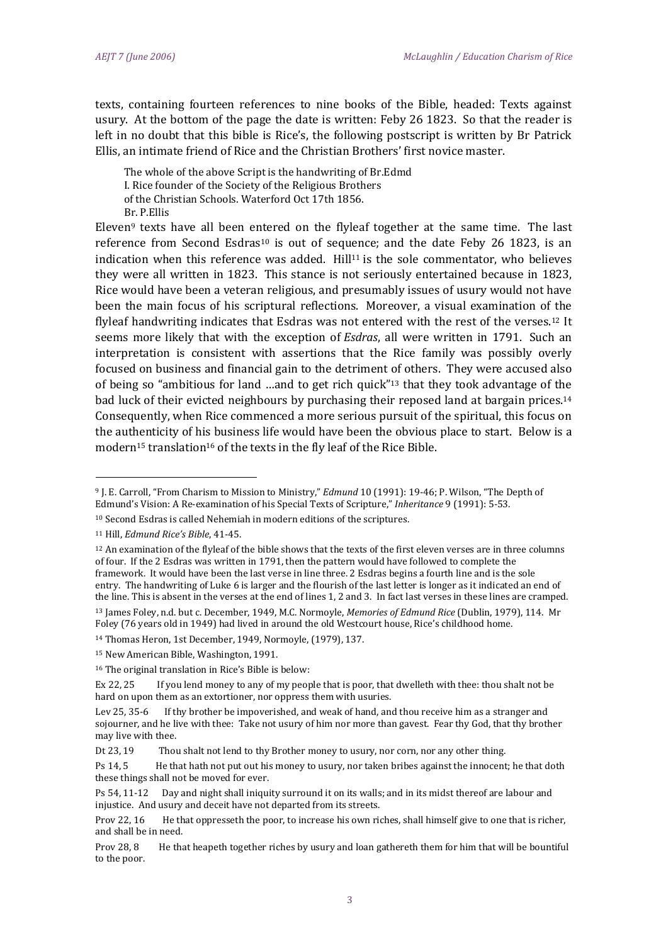texts, containing fourteen references to nine books of the Bible, headed: Texts against usury. At the bottom of the page the date is written: Feby 26 1823. So that the reader is left in no doubt that this bible is Rice's, the following postscript is written by Br Patrick Ellis, an intimate friend of Rice and the Christian Brothers' first novice master.

The whole of the above Script is the handwriting of Br.Edmd I. Rice founder of the Society of the Religious Brothers of the Christian Schools. Waterford Oct 17th 1856. Br. P.Ellis

Eleven<sup>9</sup> texts have all been entered on the flyleaf together at the same time. The last reference from Second Esdras<sup>10</sup> is out of sequence; and the date Feby 26 1823, is an indication when this reference was added.  $Hill<sup>11</sup>$  is the sole commentator, who believes they were all written in 1823. This stance is not seriously entertained because in 1823, Rice would have been a veteran religious, and presumably issues of usury would not have been the main focus of his scriptural reflections. Moreover, a visual examination of the flyleaf handwriting indicates that Esdras was not entered with the rest of the verses.<sup>12</sup> It seems more likely that with the exception of *Esdras*, all were written in 1791. Such an interpretation is consistent with assertions that the Rice family was possibly overly focused on business and financial gain to the detriment of others. They were accused also of being so "ambitious for land …and to get rich quick"<sup>13</sup> that they took advantage of the bad luck of their evicted neighbours by purchasing their reposed land at bargain prices.<sup>14</sup> Consequently, when Rice commenced a more serious pursuit of the spiritual, this focus on the authenticity of his business life would have been the obvious place to start. Below is a modern<sup>15</sup> translation<sup>16</sup> of the texts in the fly leaf of the Rice Bible.

<sup>9</sup> J. E. Carroll, "From Charism to Mission to Ministry," *Edmund* 10 (1991): 19-46; P. Wilson, "The Depth of Edmund's Vision: A Re-examination of his Special Texts of Scripture," *Inheritance* 9 (1991): 5-53.

<sup>10</sup> Second Esdras is called Nehemiah in modern editions of the scriptures.

<sup>11</sup> Hill, *Edmund Rice's Bible*, 41-45.

 $12$  An examination of the flyleaf of the bible shows that the texts of the first eleven verses are in three columns of four. If the 2 Esdras was written in 1791, then the pattern would have followed to complete the framework. It would have been the last verse in line three. 2 Esdras begins a fourth line and is the sole entry. The handwriting of Luke 6 is larger and the flourish of the last letter is longer as it indicated an end of the line. This is absent in the verses at the end of lines 1, 2 and 3. In fact last verses in these lines are cramped. <sup>13</sup> James Foley, n.d. but c. December, 1949, M.C. Normoyle, *Memories of Edmund Rice* (Dublin, 1979), 114. Mr

Foley (76 years old in 1949) had lived in around the old Westcourt house, Rice's childhood home. <sup>14</sup> Thomas Heron, 1st December, 1949, Normoyle, (1979), 137.

<sup>15</sup> New American Bible, Washington, 1991.

<sup>16</sup> The original translation in Rice's Bible is below:

Ex 22, 25 If you lend money to any of my people that is poor, that dwelleth with thee: thou shalt not be hard on upon them as an extortioner, nor oppress them with usuries.

Lev 25, 35-6 If thy brother be impoverished, and weak of hand, and thou receive him as a stranger and sojourner, and he live with thee: Take not usury of him nor more than gavest. Fear thy God, that thy brother may live with thee.

Dt 23, 19 Thou shalt not lend to thy Brother money to usury, nor corn, nor any other thing.

Ps 14, 5 He that hath not put out his money to usury, nor taken bribes against the innocent; he that doth these things shall not be moved for ever.

Ps 54, 11-12 Day and night shall iniquity surround it on its walls; and in its midst thereof are labour and injustice. And usury and deceit have not departed from its streets.

Prov 22, 16 He that oppresseth the poor, to increase his own riches, shall himself give to one that is richer, and shall be in need.

Prov 28, 8 He that heapeth together riches by usury and loan gathereth them for him that will be bountiful to the poor.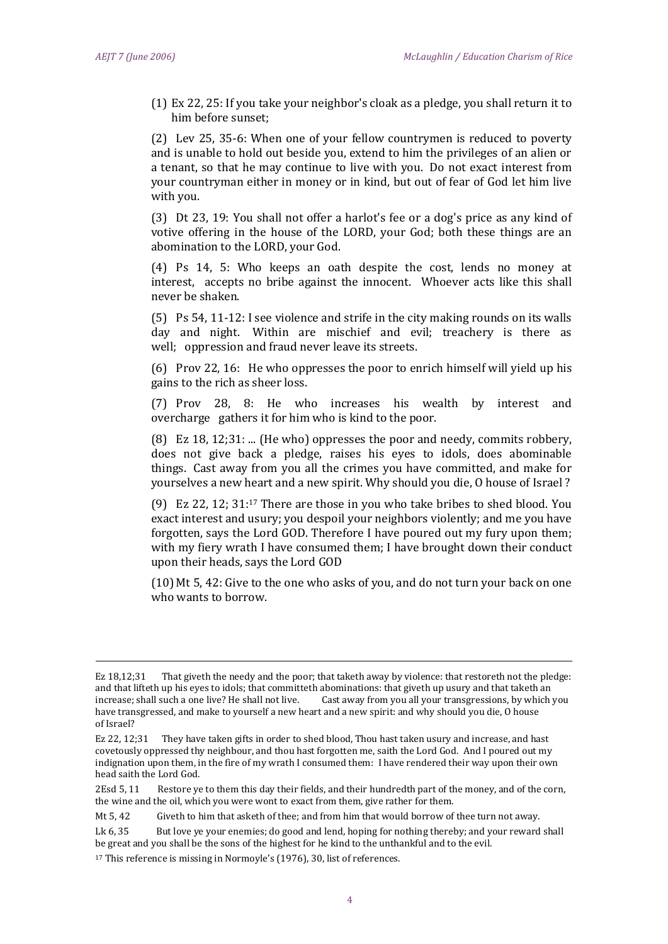<u>.</u>

(1) Ex 22, 25: If you take your neighbor's cloak as a pledge, you shall return it to him before sunset;

(2) Lev 25, 35-6: When one of your fellow countrymen is reduced to poverty and is unable to hold out beside you, extend to him the privileges of an alien or a tenant, so that he may continue to live with you. Do not exact interest from your countryman either in money or in kind, but out of fear of God let him live with you.

(3) Dt 23, 19: You shall not offer a harlot's fee or a dog's price as any kind of votive offering in the house of the LORD, your God; both these things are an abomination to the LORD, your God.

(4) Ps 14, 5: Who keeps an oath despite the cost, lends no money at interest, accepts no bribe against the innocent. Whoever acts like this shall never be shaken.

(5) Ps 54, 11-12: I see violence and strife in the city making rounds on its walls day and night. Within are mischief and evil; treachery is there as well; oppression and fraud never leave its streets.

(6) Prov 22, 16: He who oppresses the poor to enrich himself will yield up his gains to the rich as sheer loss.

(7) Prov 28, 8: He who increases his wealth by interest and overcharge gathers it for him who is kind to the poor.

(8) Ez 18, 12;31: ... (He who) oppresses the poor and needy, commits robbery, does not give back a pledge, raises his eyes to idols, does abominable things. Cast away from you all the crimes you have committed, and make for yourselves a new heart and a new spirit. Why should you die, O house of Israel ?

(9) Ez 22, 12; 31: <sup>17</sup> There are those in you who take bribes to shed blood. You exact interest and usury; you despoil your neighbors violently; and me you have forgotten, says the Lord GOD. Therefore I have poured out my fury upon them; with my fiery wrath I have consumed them; I have brought down their conduct upon their heads, says the Lord GOD

(10) Mt 5, 42: Give to the one who asks of you, and do not turn your back on one who wants to borrow.

Mt 5, 42 Giveth to him that asketh of thee; and from him that would borrow of thee turn not away.

Ez 18,12;31 That giveth the needy and the poor; that taketh away by violence: that restoreth not the pledge: and that lifteth up his eyes to idols; that committeth abominations: that giveth up usury and that taketh an increase; shall such a one live? He shall not live. Cast away from you all your transgressions, by which you have transgressed, and make to yourself a new heart and a new spirit: and why should you die, O house of Israel?

Ez 22, 12;31 They have taken gifts in order to shed blood, Thou hast taken usury and increase, and hast covetously oppressed thy neighbour, and thou hast forgotten me, saith the Lord God. And I poured out my indignation upon them, in the fire of my wrath I consumed them: I have rendered their way upon their own head saith the Lord God.

<sup>2</sup>Esd 5, 11 Restore ye to them this day their fields, and their hundredth part of the money, and of the corn, the wine and the oil, which you were wont to exact from them, give rather for them.

Lk 6, 35 But love ye your enemies; do good and lend, hoping for nothing thereby; and your reward shall be great and you shall be the sons of the highest for he kind to the unthankful and to the evil.

<sup>17</sup> This reference is missing in Normoyle's (1976), 30, list of references.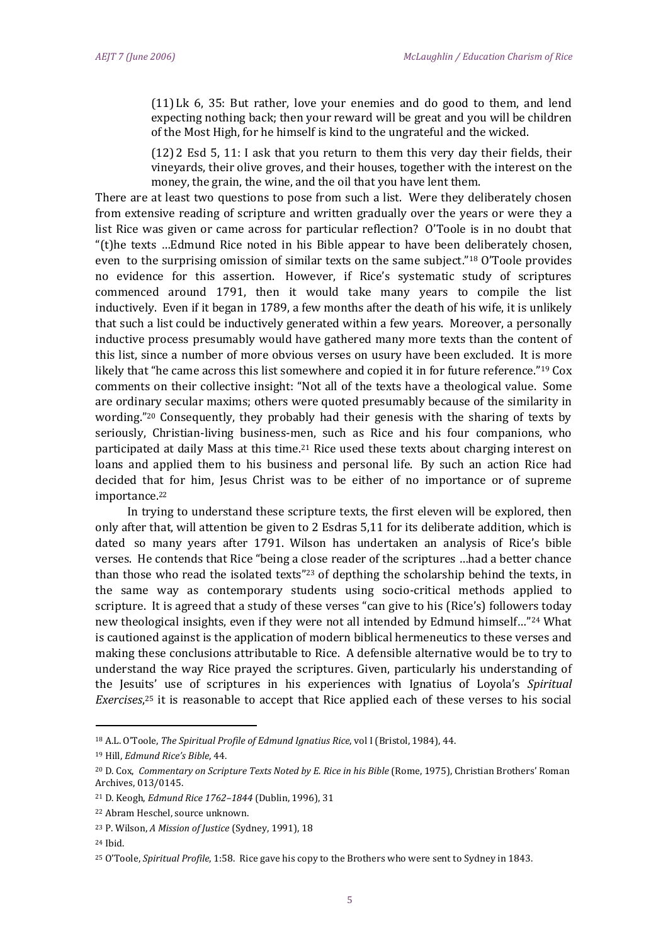(11) Lk 6, 35: But rather, love your enemies and do good to them, and lend expecting nothing back; then your reward will be great and you will be children of the Most High, for he himself is kind to the ungrateful and the wicked.

(12) 2 Esd 5, 11: I ask that you return to them this very day their fields, their vineyards, their olive groves, and their houses, together with the interest on the money, the grain, the wine, and the oil that you have lent them.

There are at least two questions to pose from such a list. Were they deliberately chosen from extensive reading of scripture and written gradually over the years or were they a list Rice was given or came across for particular reflection? O'Toole is in no doubt that "(t)he texts …Edmund Rice noted in his Bible appear to have been deliberately chosen, even to the surprising omission of similar texts on the same subject."<sup>18</sup> O'Toole provides no evidence for this assertion. However, if Rice's systematic study of scriptures commenced around 1791, then it would take many years to compile the list inductively. Even if it began in 1789, a few months after the death of his wife, it is unlikely that such a list could be inductively generated within a few years. Moreover, a personally inductive process presumably would have gathered many more texts than the content of this list, since a number of more obvious verses on usury have been excluded. It is more likely that "he came across this list somewhere and copied it in for future reference."<sup>19</sup> Cox comments on their collective insight: "Not all of the texts have a theological value. Some are ordinary secular maxims; others were quoted presumably because of the similarity in wording."<sup>20</sup> Consequently, they probably had their genesis with the sharing of texts by seriously, Christian-living business-men, such as Rice and his four companions, who participated at daily Mass at this time.<sup>21</sup> Rice used these texts about charging interest on loans and applied them to his business and personal life. By such an action Rice had decided that for him, Jesus Christ was to be either of no importance or of supreme importance.<sup>22</sup>

In trying to understand these scripture texts, the first eleven will be explored, then only after that, will attention be given to 2 Esdras 5,11 for its deliberate addition, which is dated so many years after 1791. Wilson has undertaken an analysis of Rice's bible verses. He contends that Rice "being a close reader of the scriptures …had a better chance than those who read the isolated texts<sup>"23</sup> of depthing the scholarship behind the texts, in the same way as contemporary students using socio-critical methods applied to scripture. It is agreed that a study of these verses "can give to his (Rice's) followers today new theological insights, even if they were not all intended by Edmund himself…"<sup>24</sup> What is cautioned against is the application of modern biblical hermeneutics to these verses and making these conclusions attributable to Rice. A defensible alternative would be to try to understand the way Rice prayed the scriptures. Given, particularly his understanding of the Jesuits' use of scriptures in his experiences with Ignatius of Loyola's *Spiritual Exercises*, <sup>25</sup> it is reasonable to accept that Rice applied each of these verses to his social

<sup>18</sup> A.L. O'Toole, *The Spiritual Profile of Edmund Ignatius Rice*, vol I (Bristol, 1984), 44.

<sup>19</sup> Hill, *Edmund Rice's Bible*, 44.

<sup>20</sup> D. Cox, *Commentary on Scripture Texts Noted by E. Rice in his Bible* (Rome, 1975), Christian Brothers' Roman Archives, 013/0145.

<sup>21</sup> D. Keogh, *Edmund Rice 1762–1844* (Dublin, 1996), 31

<sup>22</sup> Abram Heschel, source unknown.

<sup>23</sup> P. Wilson, *A Mission of Justice* (Sydney, 1991), 18

<sup>24</sup> Ibid.

<sup>25</sup> O'Toole, *Spiritual Profile*, 1:58. Rice gave his copy to the Brothers who were sent to Sydney in 1843.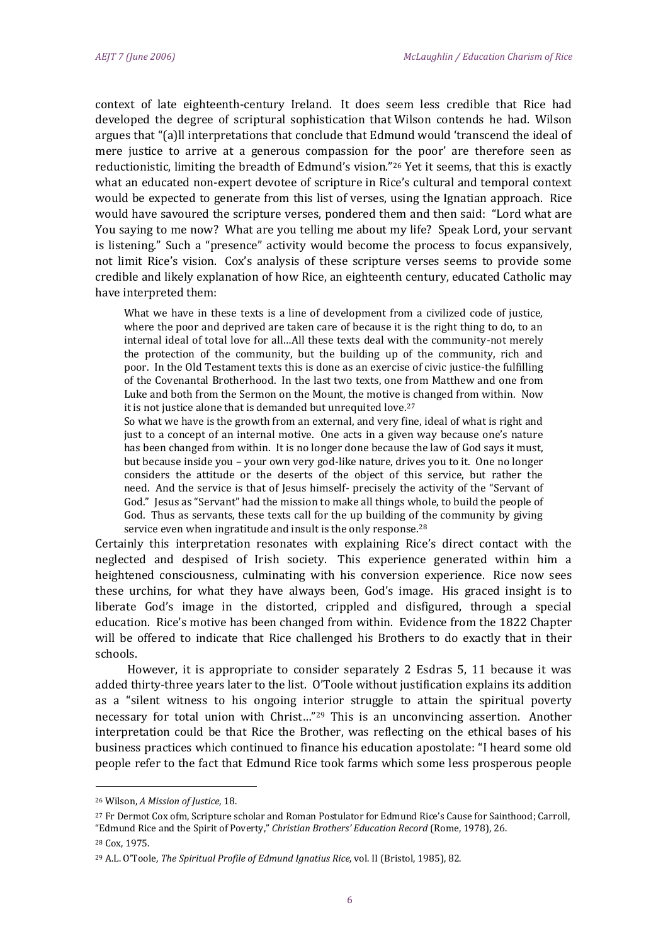context of late eighteenth-century Ireland. It does seem less credible that Rice had developed the degree of scriptural sophistication that Wilson contends he had. Wilson argues that "(a)ll interpretations that conclude that Edmund would 'transcend the ideal of mere justice to arrive at a generous compassion for the poor' are therefore seen as reductionistic, limiting the breadth of Edmund's vision." <sup>26</sup> Yet it seems, that this is exactly what an educated non-expert devotee of scripture in Rice's cultural and temporal context would be expected to generate from this list of verses, using the Ignatian approach. Rice would have savoured the scripture verses, pondered them and then said: "Lord what are You saying to me now? What are you telling me about my life? Speak Lord, your servant is listening." Such a "presence" activity would become the process to focus expansively, not limit Rice's vision. Cox's analysis of these scripture verses seems to provide some credible and likely explanation of how Rice, an eighteenth century, educated Catholic may have interpreted them:

What we have in these texts is a line of development from a civilized code of justice, where the poor and deprived are taken care of because it is the right thing to do, to an internal ideal of total love for all…All these texts deal with the community-not merely the protection of the community, but the building up of the community, rich and poor. In the Old Testament texts this is done as an exercise of civic justice-the fulfilling of the Covenantal Brotherhood. In the last two texts, one from Matthew and one from Luke and both from the Sermon on the Mount, the motive is changed from within. Now it is not justice alone that is demanded but unrequited love.<sup>27</sup>

So what we have is the growth from an external, and very fine, ideal of what is right and just to a concept of an internal motive. One acts in a given way because one's nature has been changed from within. It is no longer done because the law of God says it must, but because inside you – your own very god-like nature, drives you to it. One no longer considers the attitude or the deserts of the object of this service, but rather the need. And the service is that of Jesus himself- precisely the activity of the "Servant of God." Jesus as "Servant" had the mission to make all things whole, to build the people of God. Thus as servants, these texts call for the up building of the community by giving service even when ingratitude and insult is the only response.<sup>28</sup>

Certainly this interpretation resonates with explaining Rice's direct contact with the neglected and despised of Irish society. This experience generated within him a heightened consciousness, culminating with his conversion experience. Rice now sees these urchins, for what they have always been, God's image. His graced insight is to liberate God's image in the distorted, crippled and disfigured, through a special education. Rice's motive has been changed from within. Evidence from the 1822 Chapter will be offered to indicate that Rice challenged his Brothers to do exactly that in their schools.

However, it is appropriate to consider separately 2 Esdras 5, 11 because it was added thirty-three years later to the list. O'Toole without justification explains its addition as a "silent witness to his ongoing interior struggle to attain the spiritual poverty necessary for total union with Christ…"<sup>29</sup> This is an unconvincing assertion. Another interpretation could be that Rice the Brother, was reflecting on the ethical bases of his business practices which continued to finance his education apostolate: "I heard some old people refer to the fact that Edmund Rice took farms which some less prosperous people

<sup>26</sup> Wilson, *A Mission of Justice*, 18.

<sup>27</sup> Fr Dermot Cox ofm, Scripture scholar and Roman Postulator for Edmund Rice's Cause for Sainthood; Carroll, "Edmund Rice and the Spirit of Poverty," *Christian Brothers' Education Record* (Rome, 1978), 26.

<sup>28</sup> Cox, 1975.

<sup>29</sup> A.L. O'Toole, *The Spiritual Profile of Edmund Ignatius Rice*, vol. II (Bristol, 1985), 82.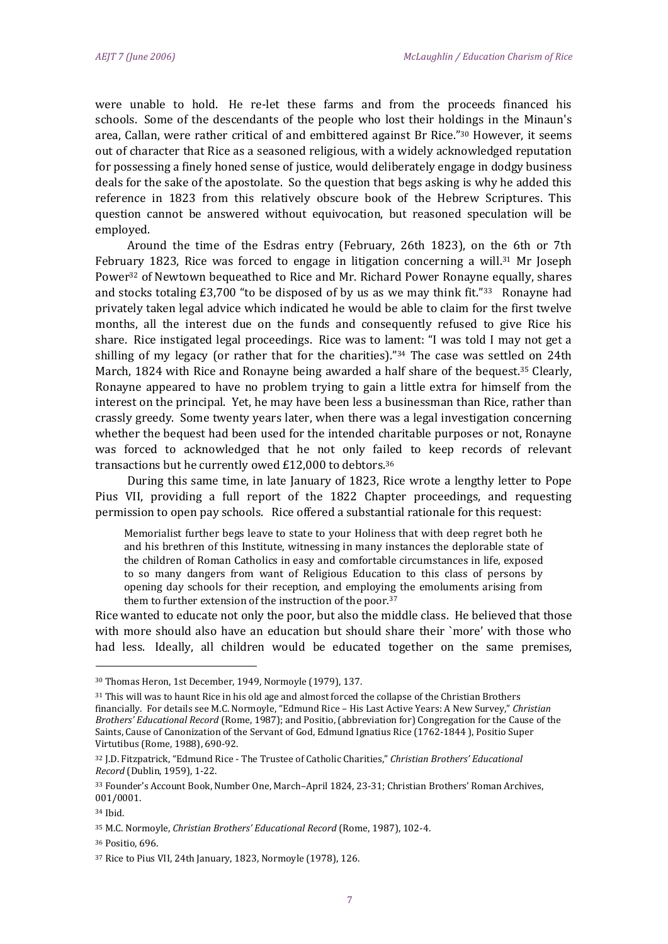were unable to hold. He re-let these farms and from the proceeds financed his schools. Some of the descendants of the people who lost their holdings in the Minaun's area, Callan, were rather critical of and embittered against Br Rice."<sup>30</sup> However, it seems out of character that Rice as a seasoned religious, with a widely acknowledged reputation for possessing a finely honed sense of justice, would deliberately engage in dodgy business deals for the sake of the apostolate. So the question that begs asking is why he added this reference in 1823 from this relatively obscure book of the Hebrew Scriptures. This question cannot be answered without equivocation, but reasoned speculation will be employed.

Around the time of the Esdras entry (February, 26th 1823), on the 6th or 7th February 1823, Rice was forced to engage in litigation concerning a will.<sup>31</sup> Mr Joseph Power<sup>32</sup> of Newtown bequeathed to Rice and Mr. Richard Power Ronayne equally, shares and stocks totaling  $£3,700$  "to be disposed of by us as we may think fit."<sup>33</sup> Ronayne had privately taken legal advice which indicated he would be able to claim for the first twelve months, all the interest due on the funds and consequently refused to give Rice his share. Rice instigated legal proceedings. Rice was to lament: "I was told I may not get a shilling of my legacy (or rather that for the charities)."<sup>34</sup> The case was settled on 24th March, 1824 with Rice and Ronayne being awarded a half share of the bequest.<sup>35</sup> Clearly, Ronayne appeared to have no problem trying to gain a little extra for himself from the interest on the principal. Yet, he may have been less a businessman than Rice, rather than crassly greedy. Some twenty years later, when there was a legal investigation concerning whether the bequest had been used for the intended charitable purposes or not, Ronayne was forced to acknowledged that he not only failed to keep records of relevant transactions but he currently owed £12,000 to debtors.<sup>36</sup>

During this same time, in late January of 1823, Rice wrote a lengthy letter to Pope Pius VII, providing a full report of the 1822 Chapter proceedings, and requesting permission to open pay schools. Rice offered a substantial rationale for this request:

Memorialist further begs leave to state to your Holiness that with deep regret both he and his brethren of this Institute, witnessing in many instances the deplorable state of the children of Roman Catholics in easy and comfortable circumstances in life, exposed to so many dangers from want of Religious Education to this class of persons by opening day schools for their reception, and employing the emoluments arising from them to further extension of the instruction of the poor.<sup>37</sup>

Rice wanted to educate not only the poor, but also the middle class. He believed that those with more should also have an education but should share their `more' with those who had less. Ideally, all children would be educated together on the same premises,

.<br>-

<sup>30</sup> Thomas Heron, 1st December, 1949, Normoyle (1979), 137.

<sup>31</sup> This will was to haunt Rice in his old age and almost forced the collapse of the Christian Brothers financially. For details see M.C. Normoyle, "Edmund Rice – His Last Active Years: A New Survey," *Christian Brothers' Educational Record* (Rome, 1987); and Positio, (abbreviation for) Congregation for the Cause of the Saints, Cause of Canonization of the Servant of God, Edmund Ignatius Rice (1762-1844 ), Positio Super Virtutibus (Rome, 1988), 690-92.

<sup>32</sup> J.D. Fitzpatrick, "Edmund Rice - The Trustee of Catholic Charities," *Christian Brothers' Educational Record* (Dublin, 1959), 1-22.

<sup>33</sup> Founder's Account Book, Number One, March–April 1824, 23-31; Christian Brothers' Roman Archives, 001/0001.

<sup>34</sup> Ibid.

<sup>35</sup> M.C. Normoyle, *Christian Brothers' Educational Record* (Rome, 1987), 102-4.

<sup>36</sup> Positio, 696.

<sup>37</sup> Rice to Pius VII, 24th January, 1823, Normoyle (1978), 126.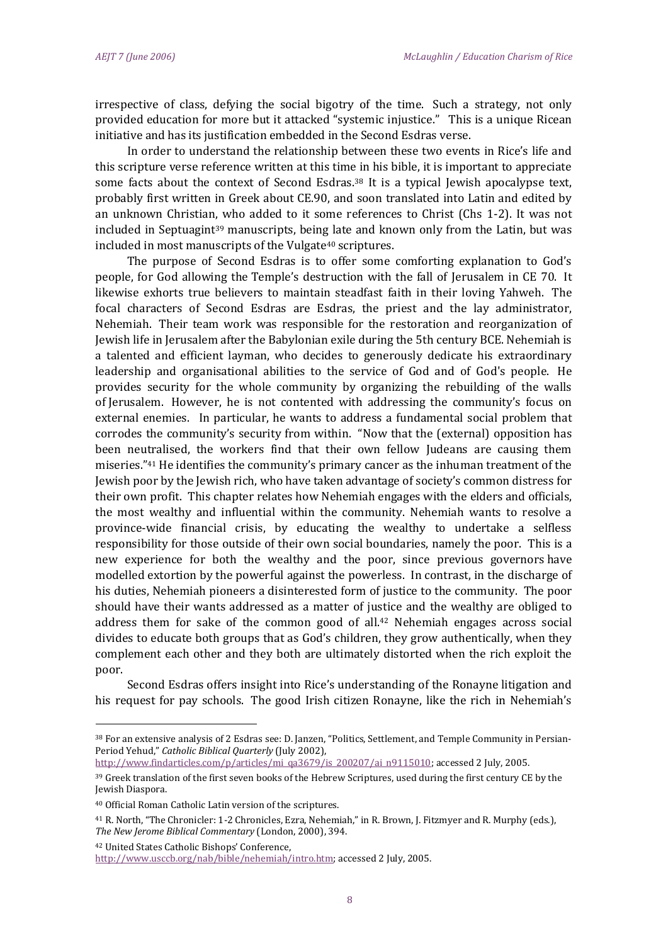irrespective of class, defying the social bigotry of the time. Such a strategy, not only provided education for more but it attacked "systemic injustice." This is a unique Ricean initiative and has its justification embedded in the Second Esdras verse.

In order to understand the relationship between these two events in Rice's life and this scripture verse reference written at this time in his bible, it is important to appreciate some facts about the context of Second Esdras.<sup>38</sup> It is a typical Jewish apocalypse text, probably first written in Greek about CE.90, and soon translated into Latin and edited by an unknown Christian, who added to it some references to Christ (Chs 1-2). It was not included in Septuagint<sup>39</sup> manuscripts, being late and known only from the Latin, but was included in most manuscripts of the Vulgate<sup>40</sup> scriptures.

The purpose of Second Esdras is to offer some comforting explanation to God's people, for God allowing the Temple's destruction with the fall of Jerusalem in CE 70. It likewise exhorts true believers to maintain steadfast faith in their loving Yahweh. The focal characters of Second Esdras are Esdras, the priest and the lay administrator, Nehemiah. Their team work was responsible for the restoration and reorganization of Jewish life in Jerusalem after the Babylonian exile during the 5th century BCE. Nehemiah is a talented and efficient layman, who decides to generously dedicate his extraordinary leadership and organisational abilities to the service of God and of God's people. He provides security for the whole community by organizing the rebuilding of the walls of Jerusalem. However, he is not contented with addressing the community's focus on external enemies. In particular, he wants to address a fundamental social problem that corrodes the community's security from within. "Now that the (external) opposition has been neutralised, the workers find that their own fellow Judeans are causing them miseries."<sup>41</sup> He identifies the community's primary cancer as the inhuman treatment of the Jewish poor by the Jewish rich, who have taken advantage of society's common distress for their own profit. This chapter relates how Nehemiah engages with the elders and officials, the most wealthy and influential within the community. Nehemiah wants to resolve a province-wide financial crisis, by educating the wealthy to undertake a selfless responsibility for those outside of their own social boundaries, namely the poor. This is a new experience for both the wealthy and the poor, since previous governors have modelled extortion by the powerful against the powerless. In contrast, in the discharge of his duties, Nehemiah pioneers a disinterested form of justice to the community. The poor should have their wants addressed as a matter of justice and the wealthy are obliged to address them for sake of the common good of all.<sup>42</sup> Nehemiah engages across social divides to educate both groups that as God's children, they grow authentically, when they complement each other and they both are ultimately distorted when the rich exploit the poor.

Second Esdras offers insight into Rice's understanding of the Ronayne litigation and his request for pay schools. The good Irish citizen Ronayne, like the rich in Nehemiah's

[http://www.findarticles.com/p/articles/mi\\_qa3679/is\\_200207/ai\\_n9115010;](http://www.findarticles.com/p/articles/mi_qa3679/is_200207/ai_n9115010) accessed 2 July, 2005.

<u>.</u>

<sup>42</sup> United States Catholic Bishops' Conference, [http://www.usccb.org/nab/bible/nehemiah/intro.htm;](http://www.usccb.org/nab/bible/nehemiah/intro.htm) accessed 2 July, 2005.

<sup>38</sup> For an extensive analysis of 2 Esdras see: D. Janzen, "Politics, Settlement, and Temple Community in Persian-Period Yehud," *Catholic Biblical Quarterly* (July 2002),

<sup>&</sup>lt;sup>39</sup> Greek translation of the first seven books of the Hebrew Scriptures, used during the first century CE by the Jewish Diaspora.

<sup>40</sup> Official Roman Catholic Latin version of the scriptures.

<sup>41</sup> R. North, "The Chronicler: 1-2 Chronicles, Ezra, Nehemiah," in R. Brown, J. Fitzmyer and R. Murphy (eds.), *The New Jerome Biblical Commentary* (London, 2000), 394.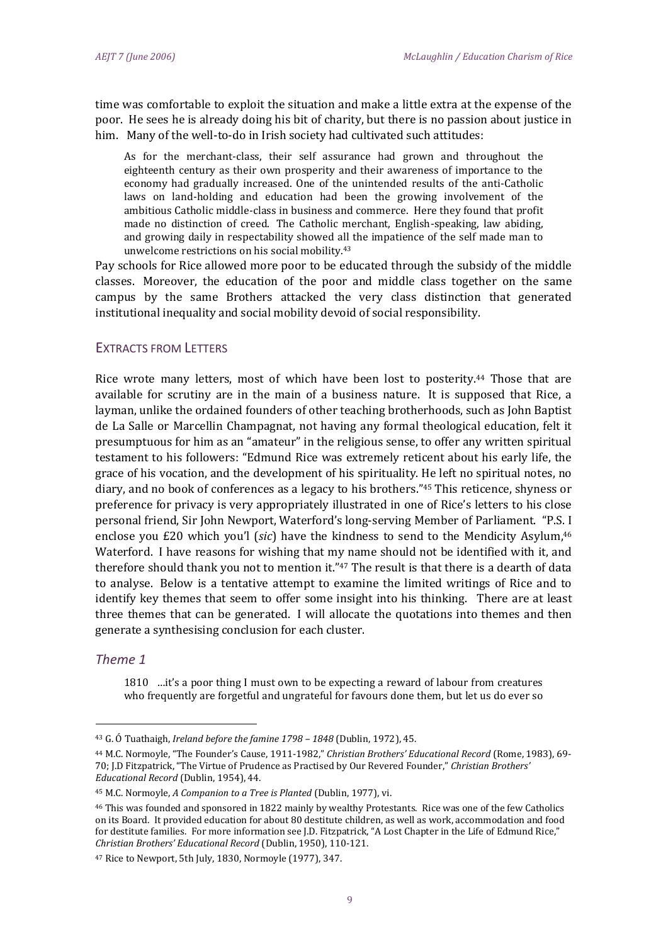time was comfortable to exploit the situation and make a little extra at the expense of the poor. He sees he is already doing his bit of charity, but there is no passion about justice in him. Many of the well-to-do in Irish society had cultivated such attitudes:

As for the merchant-class, their self assurance had grown and throughout the eighteenth century as their own prosperity and their awareness of importance to the economy had gradually increased. One of the unintended results of the anti-Catholic laws on land-holding and education had been the growing involvement of the ambitious Catholic middle-class in business and commerce. Here they found that profit made no distinction of creed. The Catholic merchant, English-speaking, law abiding, and growing daily in respectability showed all the impatience of the self made man to unwelcome restrictions on his social mobility.<sup>43</sup>

Pay schools for Rice allowed more poor to be educated through the subsidy of the middle classes. Moreover, the education of the poor and middle class together on the same campus by the same Brothers attacked the very class distinction that generated institutional inequality and social mobility devoid of social responsibility.

# EXTRACTS FROM LETTERS

Rice wrote many letters, most of which have been lost to posterity.<sup>44</sup> Those that are available for scrutiny are in the main of a business nature. It is supposed that Rice, a layman, unlike the ordained founders of other teaching brotherhoods, such as John Baptist de La Salle or Marcellin Champagnat, not having any formal theological education, felt it presumptuous for him as an "amateur" in the religious sense, to offer any written spiritual testament to his followers: "Edmund Rice was extremely reticent about his early life, the grace of his vocation, and the development of his spirituality. He left no spiritual notes, no diary, and no book of conferences as a legacy to his brothers."<sup>45</sup> This reticence, shyness or preference for privacy is very appropriately illustrated in one of Rice's letters to his close personal friend, Sir John Newport, Waterford's long-serving Member of Parliament. "P.S. I enclose you £20 which you'l (*sic*) have the kindness to send to the Mendicity Asylum, 46 Waterford. I have reasons for wishing that my name should not be identified with it, and therefore should thank you not to mention it."<sup>47</sup> The result is that there is a dearth of data to analyse. Below is a tentative attempt to examine the limited writings of Rice and to identify key themes that seem to offer some insight into his thinking. There are at least three themes that can be generated. I will allocate the quotations into themes and then generate a synthesising conclusion for each cluster.

# *Theme 1*

<u>.</u>

1810 …it's a poor thing I must own to be expecting a reward of labour from creatures who frequently are forgetful and ungrateful for favours done them, but let us do ever so

<sup>43</sup> G. Ó Tuathaigh, *Ireland before the famine 1798 – 1848* (Dublin, 1972), 45.

<sup>44</sup> M.C. Normoyle, "The Founder's Cause, 1911-1982," *Christian Brothers' Educational Record* (Rome, 1983), 69- 70; J.D Fitzpatrick, "The Virtue of Prudence as Practised by Our Revered Founder," *Christian Brothers' Educational Record* (Dublin, 1954), 44.

<sup>45</sup> M.C. Normoyle, *A Companion to a Tree is Planted* (Dublin, 1977), vi.

<sup>46</sup> This was founded and sponsored in 1822 mainly by wealthy Protestants. Rice was one of the few Catholics on its Board. It provided education for about 80 destitute children, as well as work, accommodation and food for destitute families. For more information see J.D. Fitzpatrick, "A Lost Chapter in the Life of Edmund Rice," *Christian Brothers' Educational Record* (Dublin, 1950), 110-121.

<sup>47</sup> Rice to Newport, 5th July, 1830, Normoyle (1977), 347.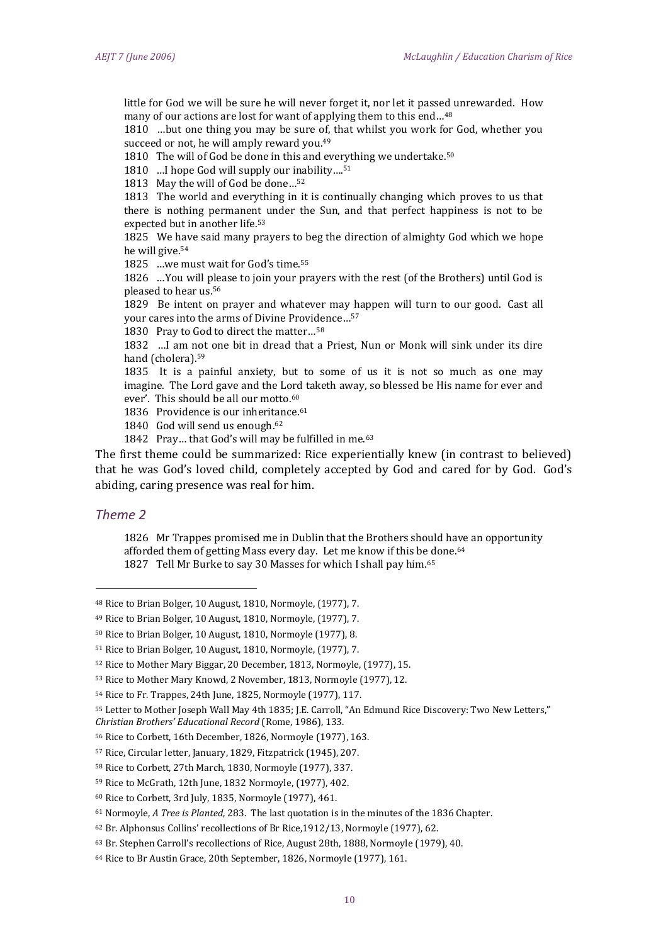little for God we will be sure he will never forget it, nor let it passed unrewarded. How many of our actions are lost for want of applying them to this end...<sup>48</sup>

1810 …but one thing you may be sure of, that whilst you work for God, whether you succeed or not, he will amply reward you.<sup>49</sup>

1810 The will of God be done in this and everything we undertake.<sup>50</sup>

1810 …I hope God will supply our inability....<sup>51</sup>

1813 May the will of God be done…<sup>52</sup>

1813 The world and everything in it is continually changing which proves to us that there is nothing permanent under the Sun, and that perfect happiness is not to be expected but in another life.<sup>53</sup>

1825 We have said many prayers to beg the direction of almighty God which we hope he will give.<sup>54</sup>

1825 …we must wait for God's time.<sup>55</sup>

1826 …You will please to join your prayers with the rest (of the Brothers) until God is pleased to hear us.<sup>56</sup>

1829 Be intent on prayer and whatever may happen will turn to our good. Cast all your cares into the arms of Divine Providence…<sup>57</sup>

1830 Pray to God to direct the matter…<sup>58</sup>

1832 …I am not one bit in dread that a Priest, Nun or Monk will sink under its dire hand (cholera).<sup>59</sup>

1835 It is a painful anxiety, but to some of us it is not so much as one may imagine. The Lord gave and the Lord taketh away, so blessed be His name for ever and ever'. This should be all our motto.<sup>60</sup>

1836 Providence is our inheritance. 61

1840 God will send us enough. 62

1842 Pray... that God's will may be fulfilled in me.<sup>63</sup>

The first theme could be summarized: Rice experientially knew (in contrast to believed) that he was God's loved child, completely accepted by God and cared for by God. God's abiding, caring presence was real for him.

# *Theme 2*

-

1826 Mr Trappes promised me in Dublin that the Brothers should have an opportunity afforded them of getting Mass every day. Let me know if this be done.<sup>64</sup> 1827 Tell Mr Burke to say 30 Masses for which I shall pay him.<sup>65</sup>

<sup>48</sup> Rice to Brian Bolger, 10 August, 1810, Normoyle, (1977), 7.

<sup>49</sup> Rice to Brian Bolger, 10 August, 1810, Normoyle, (1977), 7.

<sup>50</sup> Rice to Brian Bolger, 10 August, 1810, Normoyle (1977), 8.

<sup>51</sup> Rice to Brian Bolger, 10 August, 1810, Normoyle, (1977), 7.

<sup>52</sup> Rice to Mother Mary Biggar, 20 December, 1813, Normoyle, (1977), 15.

<sup>53</sup> Rice to Mother Mary Knowd, 2 November, 1813, Normoyle (1977), 12.

<sup>54</sup> Rice to Fr. Trappes, 24th June, 1825, Normoyle (1977), 117.

<sup>55</sup> Letter to Mother Joseph Wall May 4th 1835; J.E. Carroll, "An Edmund Rice Discovery: Two New Letters,"

*Christian Brothers' Educational Record* (Rome, 1986), 133.

<sup>56</sup> Rice to Corbett, 16th December, 1826, Normoyle (1977), 163.

<sup>57</sup> Rice, Circular letter, January, 1829, Fitzpatrick (1945), 207.

<sup>58</sup> Rice to Corbett, 27th March, 1830, Normoyle (1977), 337.

<sup>59</sup> Rice to McGrath, 12th June, 1832 Normoyle, (1977), 402.

<sup>60</sup> Rice to Corbett, 3rd July, 1835, Normoyle (1977), 461.

<sup>61</sup> Normoyle, *A Tree is Planted*, 283. The last quotation is in the minutes of the 1836 Chapter.

<sup>62</sup> Br. Alphonsus Collins' recollections of Br Rice,1912/13, Normoyle (1977), 62.

<sup>63</sup> Br. Stephen Carroll's recollections of Rice, August 28th, 1888, Normoyle (1979), 40.

<sup>64</sup> Rice to Br Austin Grace, 20th September, 1826, Normoyle (1977), 161.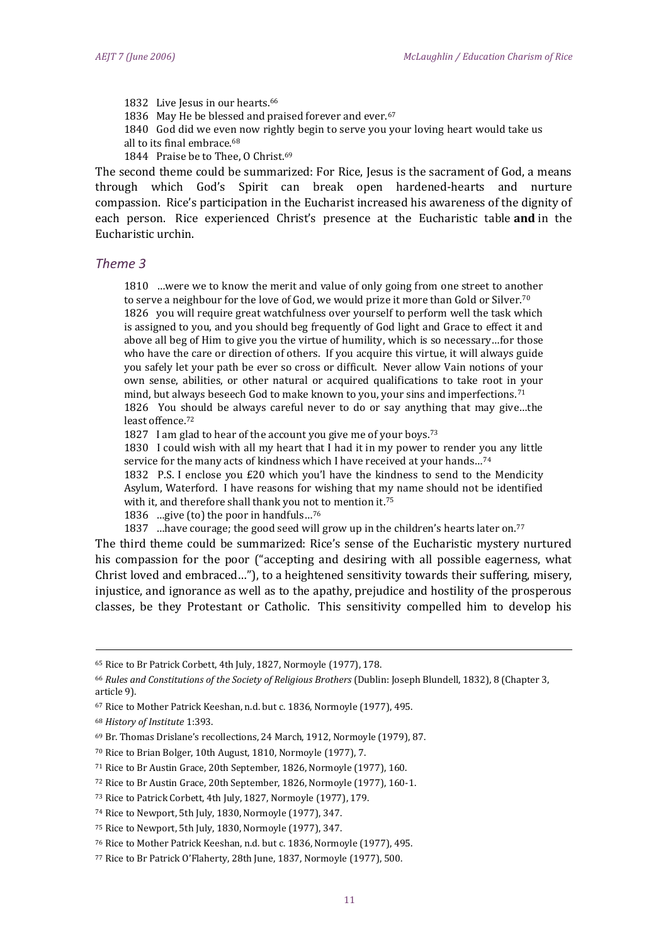1832 Live Jesus in our hearts. 66

1836 May He be blessed and praised forever and ever.<sup>67</sup>

1840 God did we even now rightly begin to serve you your loving heart would take us

- all to its final embrace.<sup>68</sup>
- 1844 Praise be to Thee, O Christ.<sup>69</sup>

The second theme could be summarized: For Rice, Jesus is the sacrament of God, a means through which God's Spirit can break open hardened-hearts and nurture compassion. Rice's participation in the Eucharist increased his awareness of the dignity of each person. Rice experienced Christ's presence at the Eucharistic table **and** in the Eucharistic urchin.

# *Theme 3*

1810 …were we to know the merit and value of only going from one street to another to serve a neighbour for the love of God, we would prize it more than Gold or Silver.<sup>70</sup> 1826 you will require great watchfulness over yourself to perform well the task which is assigned to you, and you should beg frequently of God light and Grace to effect it and above all beg of Him to give you the virtue of humility, which is so necessary…for those who have the care or direction of others. If you acquire this virtue, it will always guide you safely let your path be ever so cross or difficult. Never allow Vain notions of your own sense, abilities, or other natural or acquired qualifications to take root in your mind, but always beseech God to make known to you, your sins and imperfections.<sup>71</sup>

1826 You should be always careful never to do or say anything that may give…the least offence.<sup>72</sup>

1827 I am glad to hear of the account you give me of your boys.<sup>73</sup>

1830 I could wish with all my heart that I had it in my power to render you any little service for the many acts of kindness which I have received at your hands...<sup>74</sup>

1832 P.S. I enclose you £20 which you'l have the kindness to send to the Mendicity Asylum, Waterford. I have reasons for wishing that my name should not be identified with it, and therefore shall thank you not to mention it.<sup>75</sup>

1836 …give (to) the poor in handfuls…<sup>76</sup>

1837 …have courage; the good seed will grow up in the children's hearts later on.<sup>77</sup>

The third theme could be summarized: Rice's sense of the Eucharistic mystery nurtured his compassion for the poor ("accepting and desiring with all possible eagerness, what Christ loved and embraced…"), to a heightened sensitivity towards their suffering, misery, injustice, and ignorance as well as to the apathy, prejudice and hostility of the prosperous classes, be they Protestant or Catholic. This sensitivity compelled him to develop his

.<br>-

<sup>72</sup> Rice to Br Austin Grace, 20th September, 1826, Normoyle (1977), 160-1.

<sup>65</sup> Rice to Br Patrick Corbett, 4th July, 1827, Normoyle (1977), 178.

<sup>66</sup> *Rules and Constitutions of the Society of Religious Brothers* (Dublin: Joseph Blundell, 1832), 8 (Chapter 3, article 9).

<sup>67</sup> Rice to Mother Patrick Keeshan, n.d. but c. 1836, Normoyle (1977), 495.

<sup>68</sup> *History of Institute* 1:393.

<sup>69</sup> Br. Thomas Drislane's recollections, 24 March, 1912, Normoyle (1979), 87.

<sup>70</sup> Rice to Brian Bolger, 10th August, 1810, Normoyle (1977), 7.

<sup>71</sup> Rice to Br Austin Grace, 20th September, 1826, Normoyle (1977), 160.

<sup>73</sup> Rice to Patrick Corbett, 4th July, 1827, Normoyle (1977), 179.

<sup>74</sup> Rice to Newport, 5th July, 1830, Normoyle (1977), 347.

<sup>75</sup> Rice to Newport, 5th July, 1830, Normoyle (1977), 347.

<sup>76</sup> Rice to Mother Patrick Keeshan, n.d. but c. 1836, Normoyle (1977), 495.

<sup>77</sup> Rice to Br Patrick O'Flaherty, 28th June, 1837, Normoyle (1977), 500.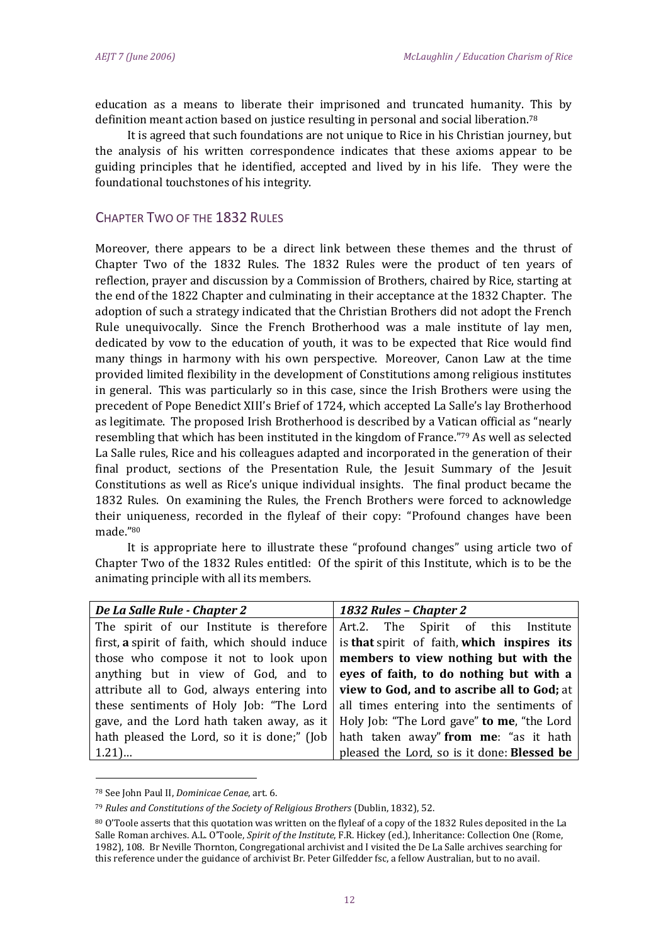education as a means to liberate their imprisoned and truncated humanity. This by definition meant action based on justice resulting in personal and social liberation.<sup>78</sup>

It is agreed that such foundations are not unique to Rice in his Christian journey, but the analysis of his written correspondence indicates that these axioms appear to be guiding principles that he identified, accepted and lived by in his life. They were the foundational touchstones of his integrity.

# CHAPTER TWO OF THE 1832 RULES

Moreover, there appears to be a direct link between these themes and the thrust of Chapter Two of the 1832 Rules. The 1832 Rules were the product of ten years of reflection, prayer and discussion by a Commission of Brothers, chaired by Rice, starting at the end of the 1822 Chapter and culminating in their acceptance at the 1832 Chapter. The adoption of such a strategy indicated that the Christian Brothers did not adopt the French Rule unequivocally. Since the French Brotherhood was a male institute of lay men, dedicated by vow to the education of youth, it was to be expected that Rice would find many things in harmony with his own perspective. Moreover, Canon Law at the time provided limited flexibility in the development of Constitutions among religious institutes in general. This was particularly so in this case, since the Irish Brothers were using the precedent of Pope Benedict XIII's Brief of 1724, which accepted La Salle's lay Brotherhood as legitimate. The proposed Irish Brotherhood is described by a Vatican official as "nearly resembling that which has been instituted in the kingdom of France."<sup>79</sup> As well as selected La Salle rules, Rice and his colleagues adapted and incorporated in the generation of their final product, sections of the Presentation Rule, the Jesuit Summary of the Jesuit Constitutions as well as Rice's unique individual insights. The final product became the 1832 Rules. On examining the Rules, the French Brothers were forced to acknowledge their uniqueness, recorded in the flyleaf of their copy: "Profound changes have been made."<sup>80</sup>

It is appropriate here to illustrate these "profound changes" using article two of Chapter Two of the 1832 Rules entitled: Of the spirit of this Institute, which is to be the animating principle with all its members.

| De La Salle Rule - Chapter 2                                                                  | 1832 Rules - Chapter 2                      |
|-----------------------------------------------------------------------------------------------|---------------------------------------------|
| The spirit of our Institute is therefore                                                      | Art.2. The Spirit of this Institute         |
| first, a spirit of faith, which should induce                                                 | is that spirit of faith, which inspires its |
| those who compose it not to look upon                                                         | members to view nothing but with the        |
| anything but in view of God, and to eyes of faith, to do nothing but with a                   |                                             |
| attribute all to God, always entering into <b>view to God, and to ascribe all to God</b> ; at |                                             |
| these sentiments of Holy Job: "The Lord   all times entering into the sentiments of           |                                             |
| gave, and the Lord hath taken away, as it                                                     | Holy Job: "The Lord gave" to me, "the Lord  |
| hath pleased the Lord, so it is done;" (Job                                                   | hath taken away" from me: "as it hath       |
| $1.21$                                                                                        | pleased the Lord, so is it done: Blessed be |

<sup>78</sup> See John Paul II, *Dominicae Cenae*, art. 6.

<sup>79</sup> *Rules and Constitutions of the Society of Religious Brothers* (Dublin, 1832), 52.

<sup>80</sup> O'Toole asserts that this quotation was written on the flyleaf of a copy of the 1832 Rules deposited in the La Salle Roman archives. A.L. O'Toole, *Spirit of the Institute*, F.R. Hickey (ed.), Inheritance: Collection One (Rome, 1982), 108. Br Neville Thornton, Congregational archivist and I visited the De La Salle archives searching for this reference under the guidance of archivist Br. Peter Gilfedder fsc, a fellow Australian, but to no avail.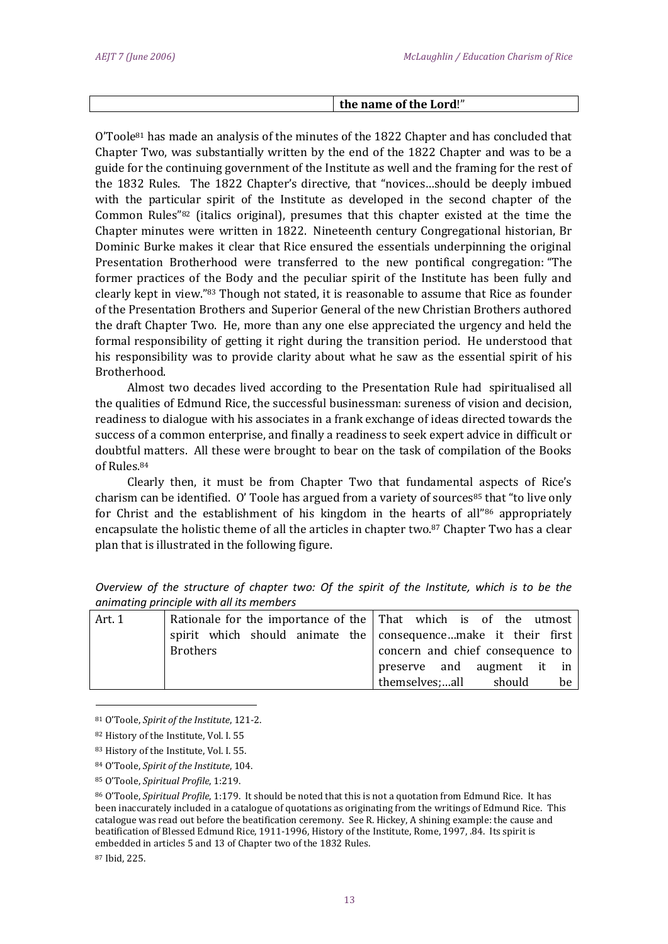#### **the name of the Lord**!"

 $O'Toole<sup>81</sup>$  has made an analysis of the minutes of the 1822 Chapter and has concluded that Chapter Two, was substantially written by the end of the 1822 Chapter and was to be a guide for the continuing government of the Institute as well and the framing for the rest of the 1832 Rules. The 1822 Chapter's directive, that "novices…should be deeply imbued with the particular spirit of the Institute as developed in the second chapter of the Common Rules"<sup>82</sup> (italics original), presumes that this chapter existed at the time the Chapter minutes were written in 1822. Nineteenth century Congregational historian, Br Dominic Burke makes it clear that Rice ensured the essentials underpinning the original Presentation Brotherhood were transferred to the new pontifical congregation: "The former practices of the Body and the peculiar spirit of the Institute has been fully and clearly kept in view."<sup>83</sup> Though not stated, it is reasonable to assume that Rice as founder of the Presentation Brothers and Superior General of the new Christian Brothers authored the draft Chapter Two. He, more than any one else appreciated the urgency and held the formal responsibility of getting it right during the transition period. He understood that his responsibility was to provide clarity about what he saw as the essential spirit of his Brotherhood.

Almost two decades lived according to the Presentation Rule had spiritualised all the qualities of Edmund Rice, the successful businessman: sureness of vision and decision, readiness to dialogue with his associates in a frank exchange of ideas directed towards the success of a common enterprise, and finally a readiness to seek expert advice in difficult or doubtful matters. All these were brought to bear on the task of compilation of the Books of Rules.<sup>84</sup>

Clearly then, it must be from Chapter Two that fundamental aspects of Rice's charism can be identified. O' Toole has argued from a variety of sources<sup>85</sup> that "to live only for Christ and the establishment of his kingdom in the hearts of all"<sup>86</sup> appropriately encapsulate the holistic theme of all the articles in chapter two.<sup>87</sup> Chapter Two has a clear plan that is illustrated in the following figure.

|        | animating principle with all its members                                |                                  |
|--------|-------------------------------------------------------------------------|----------------------------------|
| Art. 1 | Rationale for the importance of the $\vert$ That which is of the utmost |                                  |
|        | spirit which should animate the consequencemake it their first          |                                  |
|        | <b>Brothers</b>                                                         | concern and chief consequence to |
|        |                                                                         | preserve and augment it in       |
|        |                                                                         | themselves;all should<br>be      |

*Overview of the structure of chapter two: Of the spirit of the Institute, which is to be the animating principle with all its members*

<sup>81</sup> O'Toole, *Spirit of the Institute*, 121-2.

<sup>82</sup> History of the Institute, Vol. I. 55

<sup>83</sup> History of the Institute, Vol. I. 55.

<sup>84</sup> O'Toole, *Spirit of the Institute*, 104.

<sup>85</sup> O'Toole, *Spiritual Profile*, 1:219.

<sup>86</sup> O'Toole, *Spiritual Profile*, 1:179. It should be noted that this is not a quotation from Edmund Rice. It has been inaccurately included in a catalogue of quotations as originating from the writings of Edmund Rice. This catalogue was read out before the beatification ceremony. See R. Hickey, A shining example: the cause and beatification of Blessed Edmund Rice, 1911-1996, History of the Institute, Rome, 1997, .84. Its spirit is embedded in articles 5 and 13 of Chapter two of the 1832 Rules.

<sup>87</sup> Ibid, 225.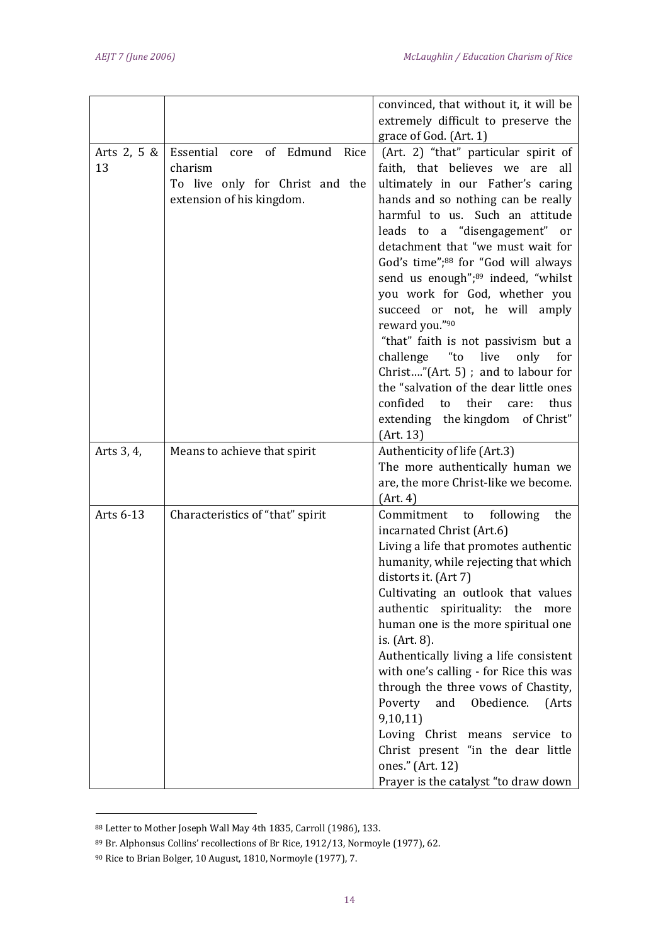|                   |                                                                                                          | convinced, that without it, it will be                                                                                                                                                                                                                                                                                                                                                                                                                                                                                                                                                                                        |
|-------------------|----------------------------------------------------------------------------------------------------------|-------------------------------------------------------------------------------------------------------------------------------------------------------------------------------------------------------------------------------------------------------------------------------------------------------------------------------------------------------------------------------------------------------------------------------------------------------------------------------------------------------------------------------------------------------------------------------------------------------------------------------|
|                   |                                                                                                          | extremely difficult to preserve the                                                                                                                                                                                                                                                                                                                                                                                                                                                                                                                                                                                           |
|                   |                                                                                                          | grace of God. (Art. 1)                                                                                                                                                                                                                                                                                                                                                                                                                                                                                                                                                                                                        |
| Arts 2, 5 &<br>13 | Essential core of Edmund Rice<br>charism<br>To live only for Christ and the<br>extension of his kingdom. | (Art. 2) "that" particular spirit of<br>faith, that believes we<br>are<br>all<br>ultimately in our Father's caring<br>hands and so nothing can be really<br>harmful to us. Such an attitude<br>leads to a "disengagement" or<br>detachment that "we must wait for<br>God's time"; <sup>88</sup> for "God will always<br>send us enough";89 indeed, "whilst<br>you work for God, whether you<br>succeed or not, he will amply<br>reward you."90<br>"that" faith is not passivism but a<br>challenge<br>"to<br>live<br>only<br>for<br>Christ"(Art. 5); and to labour for<br>the "salvation of the dear little ones              |
|                   |                                                                                                          | their<br>confided<br>thus<br>to<br>care:                                                                                                                                                                                                                                                                                                                                                                                                                                                                                                                                                                                      |
|                   |                                                                                                          | extending the kingdom of Christ"                                                                                                                                                                                                                                                                                                                                                                                                                                                                                                                                                                                              |
|                   |                                                                                                          | (Art. 13)                                                                                                                                                                                                                                                                                                                                                                                                                                                                                                                                                                                                                     |
| Arts 3, 4,        | Means to achieve that spirit                                                                             | Authenticity of life (Art.3)<br>The more authentically human we<br>are, the more Christ-like we become.<br>(Art. 4)                                                                                                                                                                                                                                                                                                                                                                                                                                                                                                           |
| Arts 6-13         | Characteristics of "that" spirit                                                                         | Commitment<br>following<br>the<br>to<br>incarnated Christ (Art.6)<br>Living a life that promotes authentic<br>humanity, while rejecting that which<br>distorts it. (Art 7)<br>Cultivating an outlook that values<br>authentic spirituality: the more<br>human one is the more spiritual one<br>is. (Art. 8).<br>Authentically living a life consistent<br>with one's calling - for Rice this was<br>through the three vows of Chastity,<br>and Obedience.<br>Poverty<br>(Arts<br>9,10,11)<br>Loving Christ means service to<br>Christ present "in the dear little<br>ones." (Art. 12)<br>Prayer is the catalyst "to draw down |

<sup>88</sup> Letter to Mother Joseph Wall May 4th 1835, Carroll (1986), 133.

.<br>-

<sup>89</sup> Br. Alphonsus Collins' recollections of Br Rice, 1912/13, Normoyle (1977), 62.

<sup>90</sup> Rice to Brian Bolger, 10 August, 1810, Normoyle (1977), 7.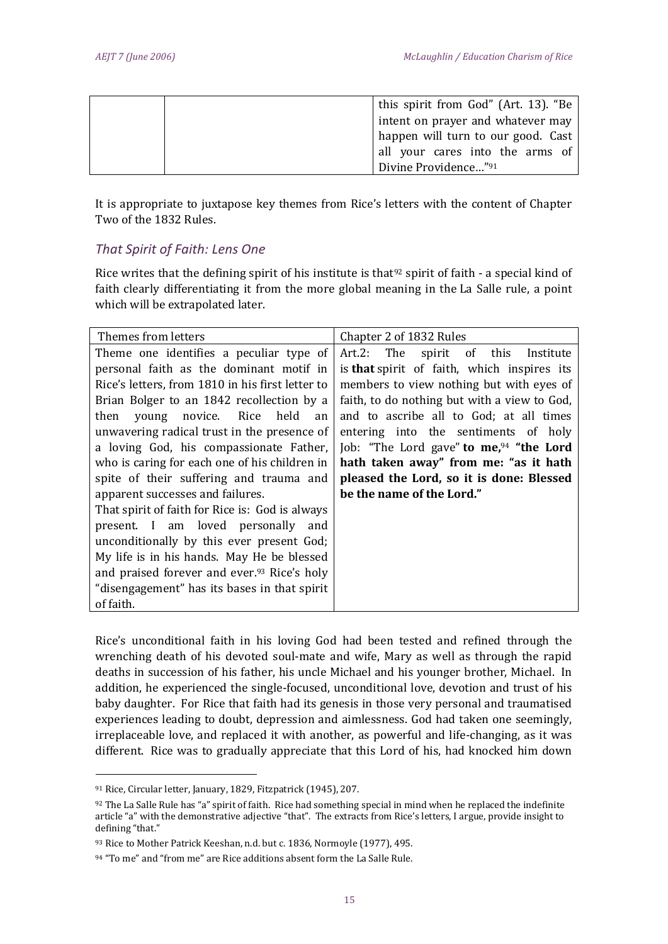| this spirit from God" (Art. 13). "Be |
|--------------------------------------|
| intent on prayer and whatever may    |
| happen will turn to our good. Cast   |
| all your cares into the arms of      |
| Divine Providence" <sup>91</sup>     |

It is appropriate to juxtapose key themes from Rice's letters with the content of Chapter Two of the 1832 Rules.

# *That Spirit of Faith: Lens One*

Rice writes that the defining spirit of his institute is that<sup>92</sup> spirit of faith - a special kind of faith clearly differentiating it from the more global meaning in the La Salle rule, a point which will be extrapolated later.

| Themes from letters                                     | Chapter 2 of 1832 Rules                      |
|---------------------------------------------------------|----------------------------------------------|
| Theme one identifies a peculiar type of                 | Art.2: The spirit of this Institute          |
| personal faith as the dominant motif in                 | is that spirit of faith, which inspires its  |
| Rice's letters, from 1810 in his first letter to        | members to view nothing but with eyes of     |
| Brian Bolger to an 1842 recollection by a               | faith, to do nothing but with a view to God, |
| then<br>young novice. Rice held<br>an                   | and to ascribe all to God; at all times      |
| unwavering radical trust in the presence of             | entering into the sentiments of holy         |
| a loving God, his compassionate Father,                 | Job: "The Lord gave" to me, $94$ "the Lord   |
| who is caring for each one of his children in           | hath taken away" from me: "as it hath        |
| spite of their suffering and trauma and                 | pleased the Lord, so it is done: Blessed     |
| apparent successes and failures.                        | be the name of the Lord."                    |
| That spirit of faith for Rice is: God is always         |                                              |
| present. I am loved personally and                      |                                              |
| unconditionally by this ever present God;               |                                              |
| My life is in his hands. May He be blessed              |                                              |
| and praised forever and ever. <sup>93</sup> Rice's holy |                                              |
| "disengagement" has its bases in that spirit            |                                              |
| of faith.                                               |                                              |

Rice's unconditional faith in his loving God had been tested and refined through the wrenching death of his devoted soul-mate and wife, Mary as well as through the rapid deaths in succession of his father, his uncle Michael and his younger brother, Michael. In addition, he experienced the single-focused, unconditional love, devotion and trust of his baby daughter. For Rice that faith had its genesis in those very personal and traumatised experiences leading to doubt, depression and aimlessness. God had taken one seemingly, irreplaceable love, and replaced it with another, as powerful and life-changing, as it was different. Rice was to gradually appreciate that this Lord of his, had knocked him down

<sup>91</sup> Rice, Circular letter, January, 1829, Fitzpatrick (1945), 207.

 $92$  The La Salle Rule has "a" spirit of faith. Rice had something special in mind when he replaced the indefinite article "a" with the demonstrative adjective "that". The extracts from Rice's letters, I argue, provide insight to defining "that."

<sup>93</sup> Rice to Mother Patrick Keeshan, n.d. but c. 1836, Normoyle (1977), 495.

<sup>94 &</sup>quot;To me" and "from me" are Rice additions absent form the La Salle Rule.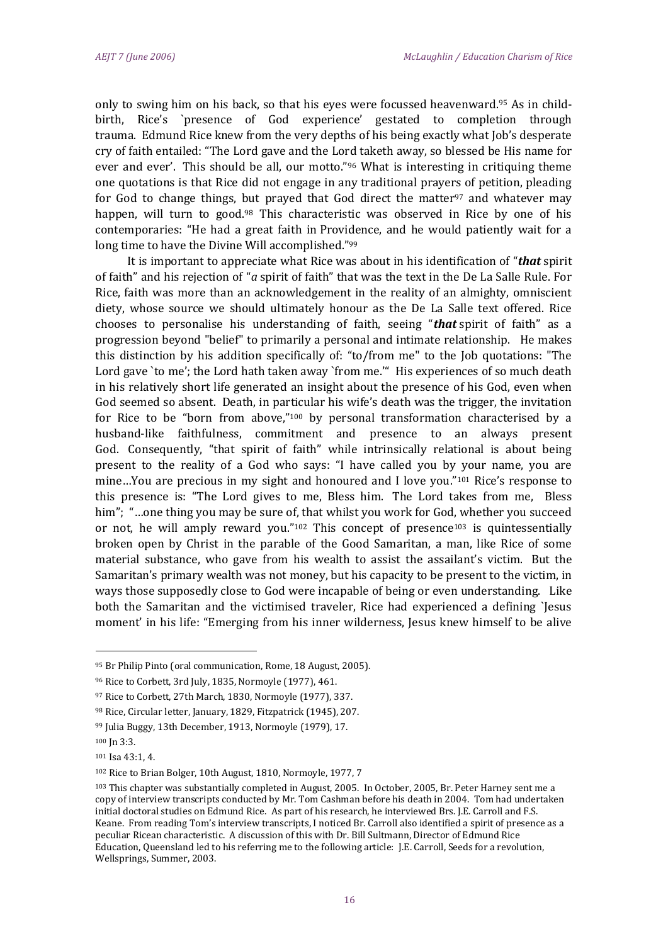only to swing him on his back, so that his eyes were focussed heavenward.<sup>95</sup> As in childbirth, Rice's `presence of God experience' gestated to completion through trauma. Edmund Rice knew from the very depths of his being exactly what Job's desperate cry of faith entailed: "The Lord gave and the Lord taketh away, so blessed be His name for ever and ever'. This should be all, our motto."<sup>96</sup> What is interesting in critiquing theme one quotations is that Rice did not engage in any traditional prayers of petition, pleading for God to change things, but prayed that God direct the matter<sup>97</sup> and whatever may happen, will turn to good.<sup>98</sup> This characteristic was observed in Rice by one of his contemporaries: "He had a great faith in Providence, and he would patiently wait for a long time to have the Divine Will accomplished."<sup>99</sup>

It is important to appreciate what Rice was about in his identification of "*that* spirit of faith" and his rejection of "*a* spirit of faith" that was the text in the De La Salle Rule. For Rice, faith was more than an acknowledgement in the reality of an almighty, omniscient diety, whose source we should ultimately honour as the De La Salle text offered. Rice chooses to personalise his understanding of faith, seeing "*that* spirit of faith" as a progression beyond "belief" to primarily a personal and intimate relationship. He makes this distinction by his addition specifically of: "to/from me" to the Job quotations: "The Lord gave `to me'; the Lord hath taken away `from me.'" His experiences of so much death in his relatively short life generated an insight about the presence of his God, even when God seemed so absent. Death, in particular his wife's death was the trigger, the invitation for Rice to be "born from above,"<sup>100</sup> by personal transformation characterised by a husband-like faithfulness, commitment and presence to an always present God. Consequently, "that spirit of faith" while intrinsically relational is about being present to the reality of a God who says: "I have called you by your name, you are mine...You are precious in my sight and honoured and I love you."<sup>101</sup> Rice's response to this presence is: "The Lord gives to me, Bless him. The Lord takes from me, Bless him"; "…one thing you may be sure of, that whilst you work for God, whether you succeed or not, he will amply reward you."<sup>102</sup> This concept of presence<sup>103</sup> is quintessentially broken open by Christ in the parable of the Good Samaritan, a man, like Rice of some material substance, who gave from his wealth to assist the assailant's victim. But the Samaritan's primary wealth was not money, but his capacity to be present to the victim, in ways those supposedly close to God were incapable of being or even understanding. Like both the Samaritan and the victimised traveler, Rice had experienced a defining `Jesus moment' in his life: "Emerging from his inner wilderness, Jesus knew himself to be alive

<sup>95</sup> Br Philip Pinto (oral communication, Rome, 18 August, 2005).

<sup>96</sup> Rice to Corbett, 3rd July, 1835, Normoyle (1977), 461.

<sup>97</sup> Rice to Corbett, 27th March, 1830, Normoyle (1977), 337.

<sup>98</sup> Rice, Circular letter, January, 1829, Fitzpatrick (1945), 207.

<sup>99</sup> Julia Buggy, 13th December, 1913, Normoyle (1979), 17.

<sup>100</sup> Jn 3:3.

<sup>101</sup> Isa 43:1, 4.

<sup>102</sup> Rice to Brian Bolger, 10th August, 1810, Normoyle, 1977, 7

<sup>103</sup> This chapter was substantially completed in August, 2005. In October, 2005, Br. Peter Harney sent me a copy of interview transcripts conducted by Mr. Tom Cashman before his death in 2004. Tom had undertaken initial doctoral studies on Edmund Rice. As part of his research, he interviewed Brs. J.E. Carroll and F.S. Keane. From reading Tom's interview transcripts, I noticed Br. Carroll also identified a spirit of presence as a peculiar Ricean characteristic. A discussion of this with Dr. Bill Sultmann, Director of Edmund Rice Education, Queensland led to his referring me to the following article: J.E. Carroll, Seeds for a revolution, Wellsprings, Summer, 2003.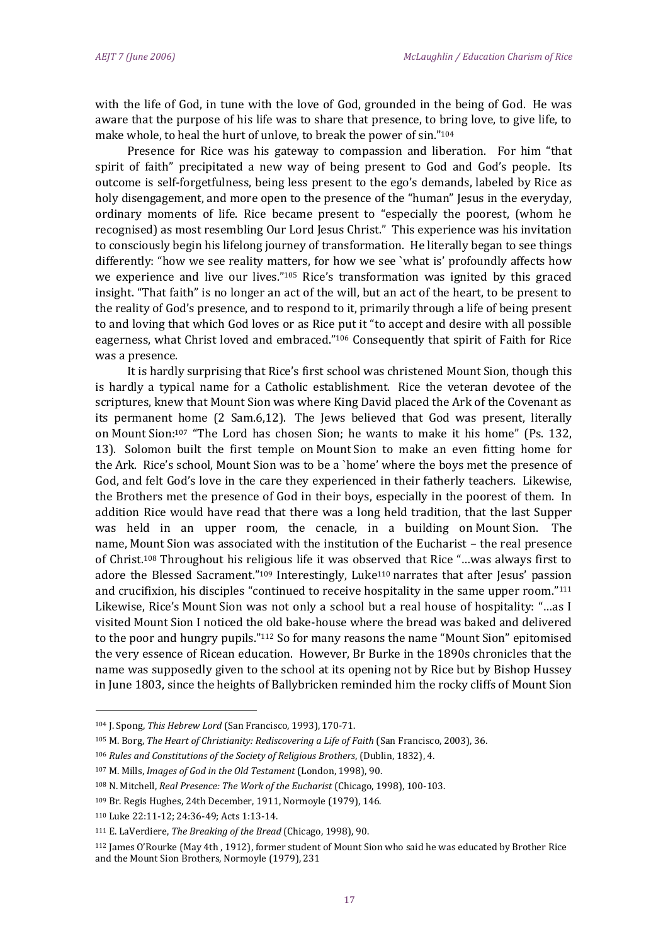with the life of God, in tune with the love of God, grounded in the being of God. He was aware that the purpose of his life was to share that presence, to bring love, to give life, to make whole, to heal the hurt of unlove, to break the power of sin."<sup>104</sup>

Presence for Rice was his gateway to compassion and liberation. For him "that spirit of faith" precipitated a new way of being present to God and God's people. Its outcome is self-forgetfulness, being less present to the ego's demands, labeled by Rice as holy disengagement, and more open to the presence of the "human" Jesus in the everyday, ordinary moments of life. Rice became present to "especially the poorest, (whom he recognised) as most resembling Our Lord Jesus Christ." This experience was his invitation to consciously begin his lifelong journey of transformation. He literally began to see things differently: "how we see reality matters, for how we see `what is' profoundly affects how we experience and live our lives."<sup>105</sup> Rice's transformation was ignited by this graced insight. "That faith" is no longer an act of the will, but an act of the heart, to be present to the reality of God's presence, and to respond to it, primarily through a life of being present to and loving that which God loves or as Rice put it "to accept and desire with all possible eagerness, what Christ loved and embraced."<sup>106</sup> Consequently that spirit of Faith for Rice was a presence.

It is hardly surprising that Rice's first school was christened Mount Sion, though this is hardly a typical name for a Catholic establishment. Rice the veteran devotee of the scriptures, knew that Mount Sion was where King David placed the Ark of the Covenant as its permanent home (2 Sam.6,12). The Jews believed that God was present, literally on Mount Sion: <sup>107</sup> "The Lord has chosen Sion; he wants to make it his home" (Ps. 132, 13). Solomon built the first temple on Mount Sion to make an even fitting home for the Ark. Rice's school, Mount Sion was to be a `home' where the boys met the presence of God, and felt God's love in the care they experienced in their fatherly teachers. Likewise, the Brothers met the presence of God in their boys, especially in the poorest of them. In addition Rice would have read that there was a long held tradition, that the last Supper was held in an upper room, the cenacle, in a building on Mount Sion. The name, Mount Sion was associated with the institution of the Eucharist – the real presence of Christ.<sup>108</sup> Throughout his religious life it was observed that Rice "…was always first to adore the Blessed Sacrament."<sup>109</sup> Interestingly, Luke<sup>110</sup> narrates that after Jesus' passion and crucifixion, his disciples "continued to receive hospitality in the same upper room."<sup>111</sup> Likewise, Rice's Mount Sion was not only a school but a real house of hospitality: "…as I visited Mount Sion I noticed the old bake-house where the bread was baked and delivered to the poor and hungry pupils."<sup>112</sup> So for many reasons the name "Mount Sion" epitomised the very essence of Ricean education. However, Br Burke in the 1890s chronicles that the name was supposedly given to the school at its opening not by Rice but by Bishop Hussey in June 1803, since the heights of Ballybricken reminded him the rocky cliffs of Mount Sion

<sup>104</sup> J. Spong, *This Hebrew Lord* (San Francisco, 1993), 170-71.

<sup>105</sup> M. Borg, *The Heart of Christianity: Rediscovering a Life of Faith* (San Francisco, 2003), 36.

<sup>106</sup> *Rules and Constitutions of the Society of Religious Brothers*, (Dublin, 1832), 4.

<sup>107</sup> M. Mills, *Images of God in the Old Testament* (London, 1998), 90.

<sup>108</sup> N. Mitchell, *Real Presence: The Work of the Eucharist* (Chicago, 1998), 100-103.

<sup>109</sup> Br. Regis Hughes, 24th December, 1911, Normoyle (1979), 146.

<sup>110</sup> Luke 22:11-12; 24:36-49; Acts 1:13-14.

<sup>111</sup> E. LaVerdiere, *The Breaking of the Bread* (Chicago, 1998), 90.

<sup>112</sup> James O'Rourke (May 4th , 1912), former student of Mount Sion who said he was educated by Brother Rice and the Mount Sion Brothers, Normoyle (1979), 231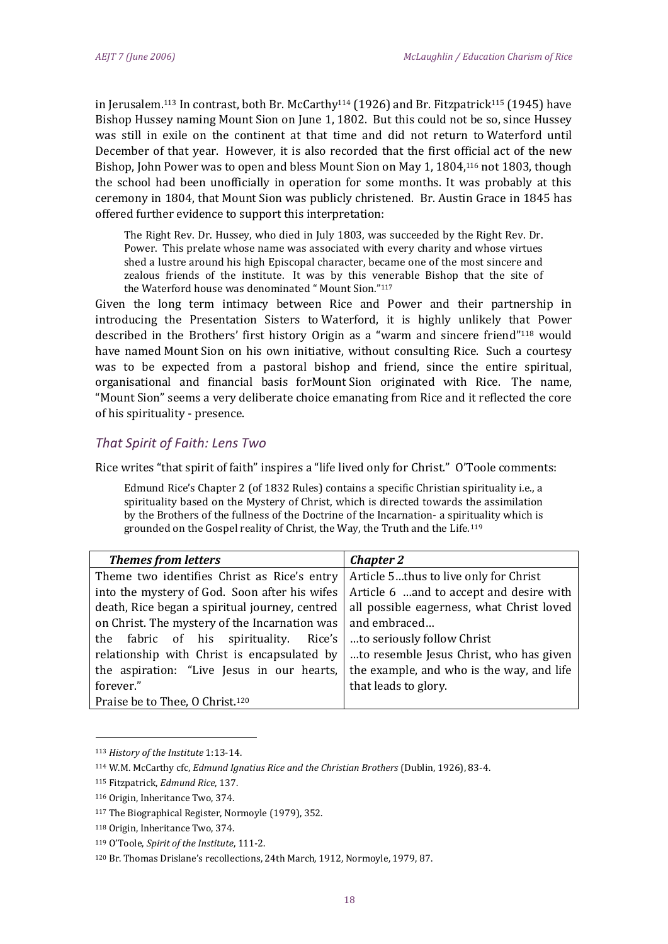in Jerusalem.<sup>113</sup> In contrast, both Br. McCarthy<sup>114</sup> (1926) and Br. Fitzpatrick<sup>115</sup> (1945) have Bishop Hussey naming Mount Sion on June 1, 1802. But this could not be so, since Hussey was still in exile on the continent at that time and did not return to Waterford until December of that year. However, it is also recorded that the first official act of the new Bishop, John Power was to open and bless Mount Sion on May 1, 1804,<sup>116</sup> not 1803, though the school had been unofficially in operation for some months. It was probably at this ceremony in 1804, that Mount Sion was publicly christened. Br. Austin Grace in 1845 has offered further evidence to support this interpretation:

The Right Rev. Dr. Hussey, who died in July 1803, was succeeded by the Right Rev. Dr. Power. This prelate whose name was associated with every charity and whose virtues shed a lustre around his high Episcopal character, became one of the most sincere and zealous friends of the institute. It was by this venerable Bishop that the site of the Waterford house was denominated " Mount Sion."<sup>117</sup>

Given the long term intimacy between Rice and Power and their partnership in introducing the Presentation Sisters to Waterford, it is highly unlikely that Power described in the Brothers' first history Origin as a "warm and sincere friend"<sup>118</sup> would have named Mount Sion on his own initiative, without consulting Rice. Such a courtesy was to be expected from a pastoral bishop and friend, since the entire spiritual, organisational and financial basis forMount Sion originated with Rice. The name, "Mount Sion" seems a very deliberate choice emanating from Rice and it reflected the core of his spirituality - presence.

# *That Spirit of Faith: Lens Two*

Rice writes "that spirit of faith" inspires a "life lived only for Christ." O'Toole comments:

Edmund Rice's Chapter 2 (of 1832 Rules) contains a specific Christian spirituality i.e., a spirituality based on the Mystery of Christ, which is directed towards the assimilation by the Brothers of the fullness of the Doctrine of the Incarnation- a spirituality which is grounded on the Gospel reality of Christ, the Way, the Truth and the Life.<sup>119</sup>

| <b>Themes from letters</b>                     | <b>Chapter 2</b>                          |
|------------------------------------------------|-------------------------------------------|
| Theme two identifies Christ as Rice's entry    | Article 5thus to live only for Christ     |
| into the mystery of God. Soon after his wifes  | Article 6 and to accept and desire with   |
| death, Rice began a spiritual journey, centred | all possible eagerness, what Christ loved |
| on Christ. The mystery of the Incarnation was  | and embraced                              |
| the fabric of his spirituality. Rice's         | to seriously follow Christ                |
| relationship with Christ is encapsulated by    | to resemble Jesus Christ, who has given   |
| the aspiration: "Live Jesus in our hearts,     | the example, and who is the way, and life |
| forever."                                      | that leads to glory.                      |
| Praise be to Thee, O Christ. <sup>120</sup>    |                                           |

<sup>113</sup> *History of the Institute* 1:13-14.

.<br>-

<sup>114</sup> W.M. McCarthy cfc, *Edmund Ignatius Rice and the Christian Brothers* (Dublin, 1926), 83-4.

<sup>115</sup> Fitzpatrick, *Edmund Rice*, 137.

<sup>116</sup> Origin, Inheritance Two, 374.

<sup>117</sup> The Biographical Register, Normoyle (1979), 352.

<sup>118</sup> Origin, Inheritance Two, 374.

<sup>119</sup> O'Toole, *Spirit of the Institute*, 111-2.

<sup>120</sup> Br. Thomas Drislane's recollections, 24th March, 1912, Normoyle, 1979, 87.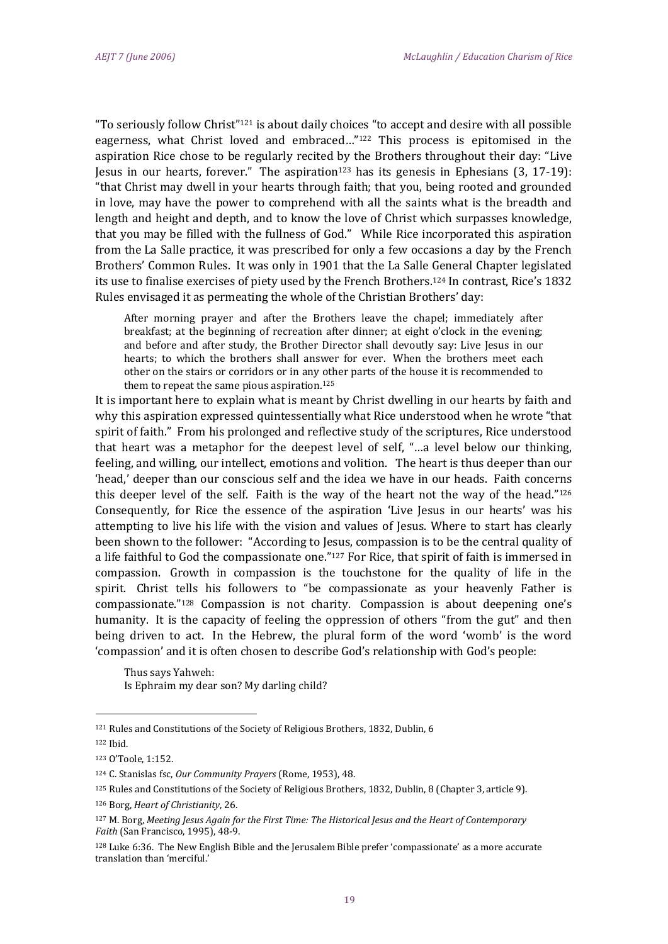"To seriously follow Christ"<sup>121</sup> is about daily choices "to accept and desire with all possible eagerness, what Christ loved and embraced…"<sup>122</sup> This process is epitomised in the aspiration Rice chose to be regularly recited by the Brothers throughout their day: "Live Jesus in our hearts, forever." The aspiration<sup>123</sup> has its genesis in Ephesians  $(3, 17-19)$ : "that Christ may dwell in your hearts through faith; that you, being rooted and grounded in love, may have the power to comprehend with all the saints what is the breadth and length and height and depth, and to know the love of Christ which surpasses knowledge, that you may be filled with the fullness of God." While Rice incorporated this aspiration from the La Salle practice, it was prescribed for only a few occasions a day by the French Brothers' Common Rules. It was only in 1901 that the La Salle General Chapter legislated its use to finalise exercises of piety used by the French Brothers.<sup>124</sup> In contrast, Rice's 1832 Rules envisaged it as permeating the whole of the Christian Brothers' day:

After morning prayer and after the Brothers leave the chapel; immediately after breakfast; at the beginning of recreation after dinner; at eight o'clock in the evening; and before and after study, the Brother Director shall devoutly say: Live Jesus in our hearts; to which the brothers shall answer for ever. When the brothers meet each other on the stairs or corridors or in any other parts of the house it is recommended to them to repeat the same pious aspiration. 125

It is important here to explain what is meant by Christ dwelling in our hearts by faith and why this aspiration expressed quintessentially what Rice understood when he wrote "that spirit of faith." From his prolonged and reflective study of the scriptures, Rice understood that heart was a metaphor for the deepest level of self, "…a level below our thinking, feeling, and willing, our intellect, emotions and volition. The heart is thus deeper than our 'head,' deeper than our conscious self and the idea we have in our heads. Faith concerns this deeper level of the self. Faith is the way of the heart not the way of the head."<sup>126</sup> Consequently, for Rice the essence of the aspiration 'Live Jesus in our hearts' was his attempting to live his life with the vision and values of Jesus. Where to start has clearly been shown to the follower: "According to Jesus, compassion is to be the central quality of a life faithful to God the compassionate one."<sup>127</sup> For Rice, that spirit of faith is immersed in compassion. Growth in compassion is the touchstone for the quality of life in the spirit. Christ tells his followers to "be compassionate as your heavenly Father is compassionate." <sup>128</sup> Compassion is not charity. Compassion is about deepening one's humanity. It is the capacity of feeling the oppression of others "from the gut" and then being driven to act. In the Hebrew, the plural form of the word 'womb' is the word 'compassion' and it is often chosen to describe God's relationship with God's people:

Thus says Yahweh: Is Ephraim my dear son? My darling child?

<sup>122</sup> Ibid.

<sup>121</sup> Rules and Constitutions of the Society of Religious Brothers, 1832, Dublin, 6

<sup>123</sup> O'Toole, 1:152.

<sup>124</sup> C. Stanislas fsc, *Our Community Prayers* (Rome, 1953), 48.

<sup>125</sup> Rules and Constitutions of the Society of Religious Brothers, 1832, Dublin, 8 (Chapter 3, article 9).

<sup>126</sup> Borg, *Heart of Christianity*, 26.

<sup>127</sup> M. Borg, *Meeting Jesus Again for the First Time: The Historical Jesus and the Heart of Contemporary Faith* (San Francisco, 1995), 48-9.

<sup>128</sup> Luke 6:36. The New English Bible and the Jerusalem Bible prefer 'compassionate' as a more accurate translation than 'merciful.'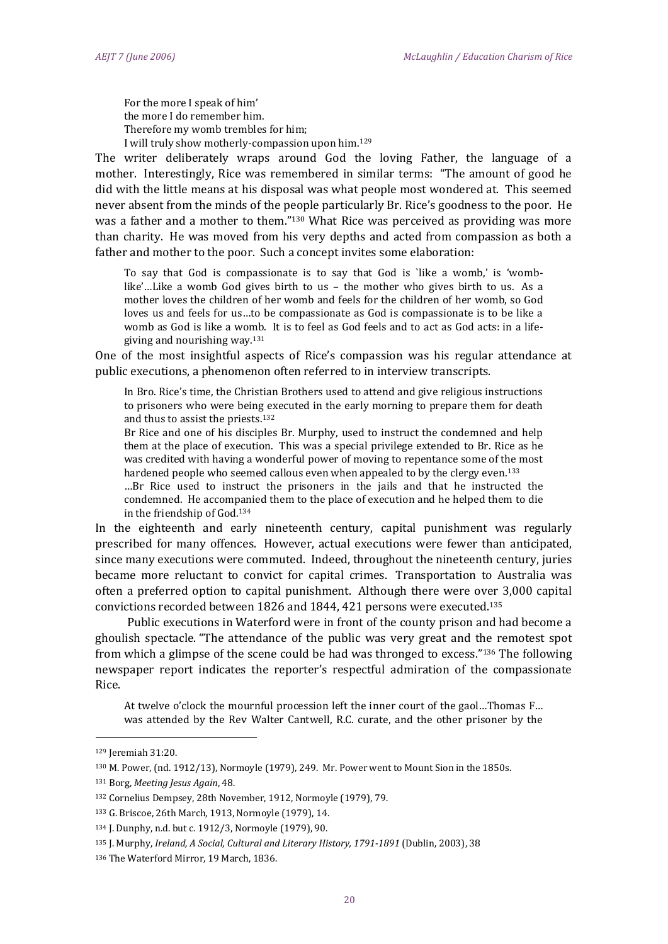For the more I speak of him' the more I do remember him. Therefore my womb trembles for him; I will truly show motherly-compassion upon him.<sup>129</sup>

The writer deliberately wraps around God the loving Father, the language of a mother. Interestingly, Rice was remembered in similar terms: "The amount of good he did with the little means at his disposal was what people most wondered at. This seemed never absent from the minds of the people particularly Br. Rice's goodness to the poor. He was a father and a mother to them."<sup>130</sup> What Rice was perceived as providing was more than charity. He was moved from his very depths and acted from compassion as both a father and mother to the poor. Such a concept invites some elaboration:

To say that God is compassionate is to say that God is `like a womb,' is 'womblike'…Like a womb God gives birth to us – the mother who gives birth to us. As a mother loves the children of her womb and feels for the children of her womb, so God loves us and feels for us…to be compassionate as God is compassionate is to be like a womb as God is like a womb. It is to feel as God feels and to act as God acts: in a lifegiving and nourishing way.<sup>131</sup>

One of the most insightful aspects of Rice's compassion was his regular attendance at public executions, a phenomenon often referred to in interview transcripts.

In Bro. Rice's time, the Christian Brothers used to attend and give religious instructions to prisoners who were being executed in the early morning to prepare them for death and thus to assist the priests.<sup>132</sup>

Br Rice and one of his disciples Br. Murphy, used to instruct the condemned and help them at the place of execution. This was a special privilege extended to Br. Rice as he was credited with having a wonderful power of moving to repentance some of the most hardened people who seemed callous even when appealed to by the clergy even.<sup>133</sup>

…Br Rice used to instruct the prisoners in the jails and that he instructed the condemned. He accompanied them to the place of execution and he helped them to die in the friendship of God.<sup>134</sup>

In the eighteenth and early nineteenth century, capital punishment was regularly prescribed for many offences. However, actual executions were fewer than anticipated, since many executions were commuted. Indeed, throughout the nineteenth century, juries became more reluctant to convict for capital crimes. Transportation to Australia was often a preferred option to capital punishment. Although there were over 3,000 capital convictions recorded between 1826 and 1844, 421 persons were executed.<sup>135</sup>

Public executions in Waterford were in front of the county prison and had become a ghoulish spectacle. "The attendance of the public was very great and the remotest spot from which a glimpse of the scene could be had was thronged to excess."<sup>136</sup> The following newspaper report indicates the reporter's respectful admiration of the compassionate Rice.

At twelve o'clock the mournful procession left the inner court of the gaol…Thomas F… was attended by the Rev Walter Cantwell, R.C. curate, and the other prisoner by the

.<br>-

<sup>129</sup> Jeremiah 31:20.

<sup>130</sup> M. Power, (nd. 1912/13), Normoyle (1979), 249. Mr. Power went to Mount Sion in the 1850s.

<sup>131</sup> Borg, *Meeting Jesus Again*, 48.

<sup>132</sup> Cornelius Dempsey, 28th November, 1912, Normoyle (1979), 79.

<sup>133</sup> G. Briscoe, 26th March, 1913, Normoyle (1979), 14.

<sup>134</sup> J. Dunphy, n.d. but c. 1912/3, Normoyle (1979), 90.

<sup>135</sup> J. Murphy, *Ireland, A Social, Cultural and Literary History, 1791-1891* (Dublin, 2003), 38

<sup>136</sup> The Waterford Mirror, 19 March, 1836.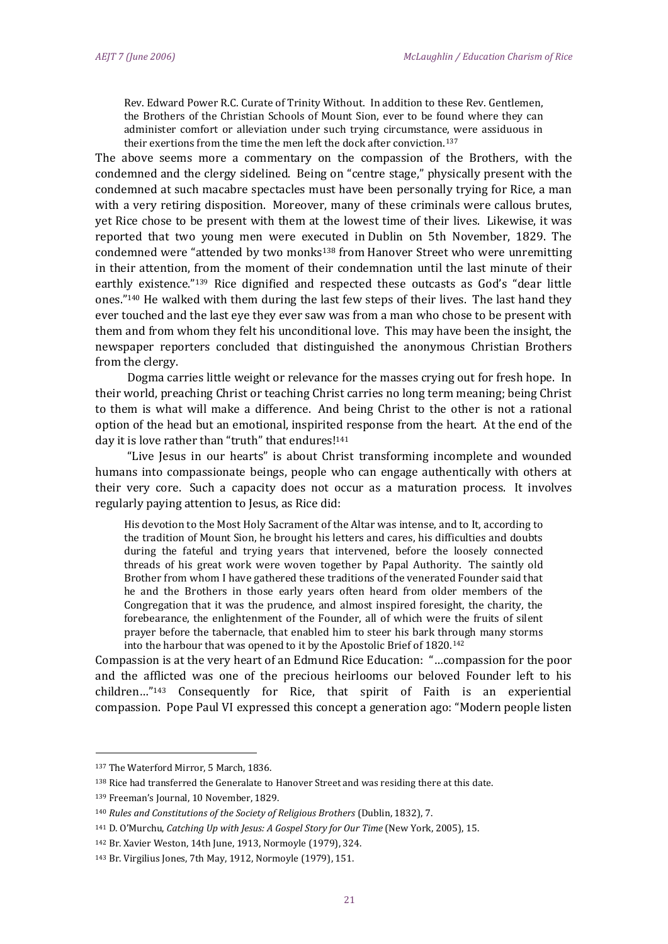Rev. Edward Power R.C. Curate of Trinity Without. In addition to these Rev. Gentlemen, the Brothers of the Christian Schools of Mount Sion, ever to be found where they can administer comfort or alleviation under such trying circumstance, were assiduous in their exertions from the time the men left the dock after conviction.<sup>137</sup>

The above seems more a commentary on the compassion of the Brothers, with the condemned and the clergy sidelined. Being on "centre stage," physically present with the condemned at such macabre spectacles must have been personally trying for Rice, a man with a very retiring disposition. Moreover, many of these criminals were callous brutes, yet Rice chose to be present with them at the lowest time of their lives. Likewise, it was reported that two young men were executed in Dublin on 5th November, 1829. The condemned were "attended by two monks<sup>138</sup> from Hanover Street who were unremitting in their attention, from the moment of their condemnation until the last minute of their earthly existence."<sup>139</sup> Rice dignified and respected these outcasts as God's "dear little ones."<sup>140</sup> He walked with them during the last few steps of their lives. The last hand they ever touched and the last eye they ever saw was from a man who chose to be present with them and from whom they felt his unconditional love. This may have been the insight, the newspaper reporters concluded that distinguished the anonymous Christian Brothers from the clergy.

Dogma carries little weight or relevance for the masses crying out for fresh hope. In their world, preaching Christ or teaching Christ carries no long term meaning; being Christ to them is what will make a difference. And being Christ to the other is not a rational option of the head but an emotional, inspirited response from the heart. At the end of the day it is love rather than "truth" that endures!<sup>141</sup>

"Live Jesus in our hearts" is about Christ transforming incomplete and wounded humans into compassionate beings, people who can engage authentically with others at their very core. Such a capacity does not occur as a maturation process. It involves regularly paying attention to Jesus, as Rice did:

His devotion to the Most Holy Sacrament of the Altar was intense, and to It, according to the tradition of Mount Sion, he brought his letters and cares, his difficulties and doubts during the fateful and trying years that intervened, before the loosely connected threads of his great work were woven together by Papal Authority. The saintly old Brother from whom I have gathered these traditions of the venerated Founder said that he and the Brothers in those early years often heard from older members of the Congregation that it was the prudence, and almost inspired foresight, the charity, the forebearance, the enlightenment of the Founder, all of which were the fruits of silent prayer before the tabernacle, that enabled him to steer his bark through many storms into the harbour that was opened to it by the Apostolic Brief of 1820.<sup>142</sup>

Compassion is at the very heart of an Edmund Rice Education: "…compassion for the poor and the afflicted was one of the precious heirlooms our beloved Founder left to his children…"<sup>143</sup> Consequently for Rice, that spirit of Faith is an experiential compassion. Pope Paul VI expressed this concept a generation ago: "Modern people listen

<sup>137</sup> The Waterford Mirror, 5 March, 1836.

<sup>138</sup> Rice had transferred the Generalate to Hanover Street and was residing there at this date.

<sup>139</sup> Freeman's Journal, 10 November, 1829.

<sup>140</sup> *Rules and Constitutions of the Society of Religious Brothers* (Dublin, 1832), 7.

<sup>141</sup> D. O'Murchu, *Catching Up with Jesus: A Gospel Story for Our Time* (New York, 2005), 15.

<sup>142</sup> Br. Xavier Weston, 14th June, 1913, Normoyle (1979), 324.

<sup>143</sup> Br. Virgilius Jones, 7th May, 1912, Normoyle (1979), 151.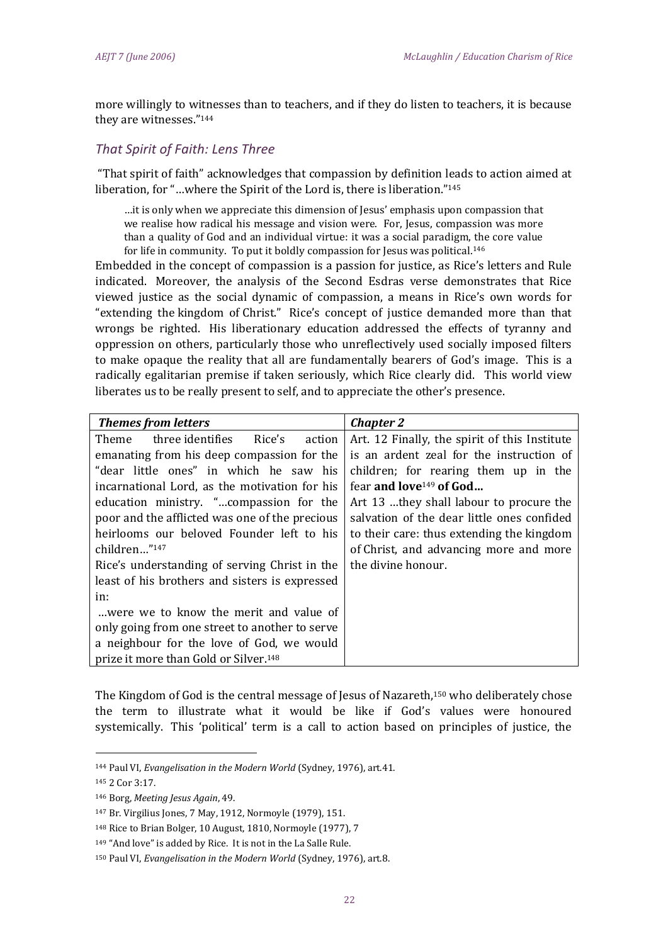more willingly to witnesses than to teachers, and if they do listen to teachers, it is because they are witnesses."<sup>144</sup>

# *That Spirit of Faith: Lens Three*

"That spirit of faith" acknowledges that compassion by definition leads to action aimed at liberation, for "…where the Spirit of the Lord is, there is liberation." 145

…it is only when we appreciate this dimension of Jesus' emphasis upon compassion that we realise how radical his message and vision were. For, Jesus, compassion was more than a quality of God and an individual virtue: it was a social paradigm, the core value for life in community. To put it boldly compassion for Jesus was political.<sup>146</sup>

Embedded in the concept of compassion is a passion for justice, as Rice's letters and Rule indicated. Moreover, the analysis of the Second Esdras verse demonstrates that Rice viewed justice as the social dynamic of compassion, a means in Rice's own words for "extending the kingdom of Christ." Rice's concept of justice demanded more than that wrongs be righted. His liberationary education addressed the effects of tyranny and oppression on others, particularly those who unreflectively used socially imposed filters to make opaque the reality that all are fundamentally bearers of God's image. This is a radically egalitarian premise if taken seriously, which Rice clearly did. This world view liberates us to be really present to self, and to appreciate the other's presence.

| <b>Themes from letters</b>                        | <b>Chapter 2</b>                              |
|---------------------------------------------------|-----------------------------------------------|
| three identifies<br>Rice's<br>Theme<br>action     | Art. 12 Finally, the spirit of this Institute |
| emanating from his deep compassion for the        | is an ardent zeal for the instruction of      |
| "dear little ones" in which he saw his            | children; for rearing them up in the          |
| incarnational Lord, as the motivation for his     | fear and love <sup>149</sup> of God           |
| education ministry. "compassion for the           | Art 13 they shall labour to procure the       |
| poor and the afflicted was one of the precious    | salvation of the dear little ones confided    |
| heirlooms our beloved Founder left to his         | to their care: thus extending the kingdom     |
| children"147                                      | of Christ, and advancing more and more        |
| Rice's understanding of serving Christ in the     | the divine honour.                            |
| least of his brothers and sisters is expressed    |                                               |
| in:                                               |                                               |
| were we to know the merit and value of            |                                               |
| only going from one street to another to serve    |                                               |
| a neighbour for the love of God, we would         |                                               |
| prize it more than Gold or Silver. <sup>148</sup> |                                               |

The Kingdom of God is the central message of Jesus of Nazareth,<sup>150</sup> who deliberately chose the term to illustrate what it would be like if God's values were honoured systemically. This 'political' term is a call to action based on principles of justice, the

<sup>144</sup> Paul VI, *Evangelisation in the Modern World* (Sydney, 1976), art.41.

<sup>145</sup> 2 Cor 3:17.

<sup>146</sup> Borg, *Meeting Jesus Again*, 49.

<sup>147</sup> Br. Virgilius Jones, 7 May, 1912, Normoyle (1979), 151.

<sup>148</sup> Rice to Brian Bolger, 10 August, 1810, Normoyle (1977), 7

<sup>149</sup> "And love" is added by Rice. It is not in the La Salle Rule.

<sup>150</sup> Paul VI, *Evangelisation in the Modern World* (Sydney, 1976), art.8.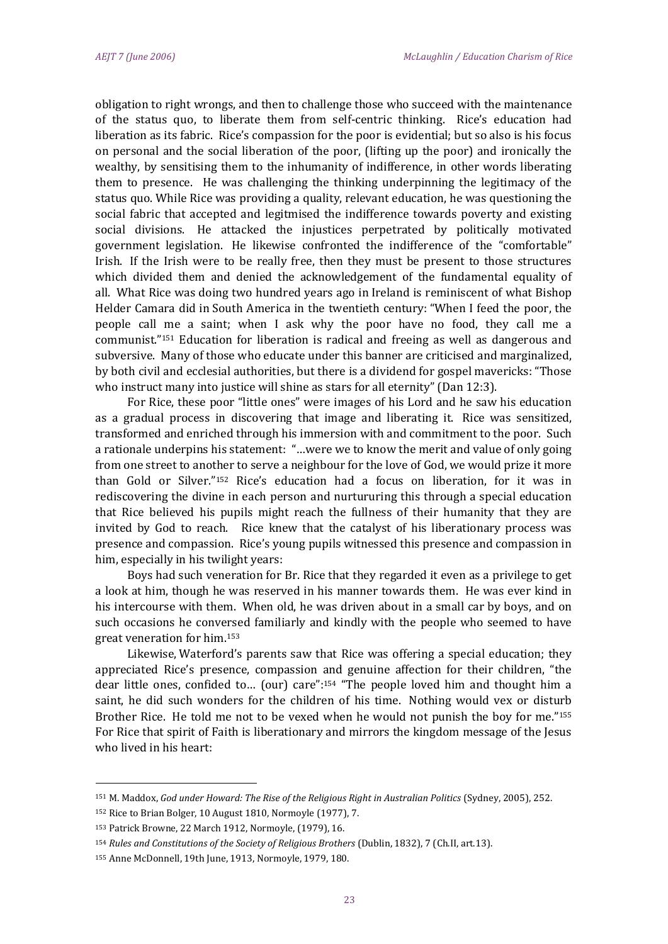obligation to right wrongs, and then to challenge those who succeed with the maintenance of the status quo, to liberate them from self-centric thinking. Rice's education had liberation as its fabric. Rice's compassion for the poor is evidential; but so also is his focus on personal and the social liberation of the poor, (lifting up the poor) and ironically the wealthy, by sensitising them to the inhumanity of indifference, in other words liberating them to presence. He was challenging the thinking underpinning the legitimacy of the status quo. While Rice was providing a quality, relevant education, he was questioning the social fabric that accepted and legitmised the indifference towards poverty and existing social divisions. He attacked the injustices perpetrated by politically motivated government legislation. He likewise confronted the indifference of the "comfortable" Irish. If the Irish were to be really free, then they must be present to those structures which divided them and denied the acknowledgement of the fundamental equality of all. What Rice was doing two hundred years ago in Ireland is reminiscent of what Bishop Helder Camara did in South America in the twentieth century: "When I feed the poor, the people call me a saint; when I ask why the poor have no food, they call me a communist."<sup>151</sup> Education for liberation is radical and freeing as well as dangerous and subversive. Many of those who educate under this banner are criticised and marginalized, by both civil and ecclesial authorities, but there is a dividend for gospel mavericks: "Those who instruct many into justice will shine as stars for all eternity" (Dan 12:3).

For Rice, these poor "little ones" were images of his Lord and he saw his education as a gradual process in discovering that image and liberating it. Rice was sensitized, transformed and enriched through his immersion with and commitment to the poor. Such a rationale underpins his statement: "…were we to know the merit and value of only going from one street to another to serve a neighbour for the love of God, we would prize it more than Gold or Silver."<sup>152</sup> Rice's education had a focus on liberation, for it was in rediscovering the divine in each person and nurtururing this through a special education that Rice believed his pupils might reach the fullness of their humanity that they are invited by God to reach. Rice knew that the catalyst of his liberationary process was presence and compassion. Rice's young pupils witnessed this presence and compassion in him, especially in his twilight years:

Boys had such veneration for Br. Rice that they regarded it even as a privilege to get a look at him, though he was reserved in his manner towards them. He was ever kind in his intercourse with them. When old, he was driven about in a small car by boys, and on such occasions he conversed familiarly and kindly with the people who seemed to have great veneration for him.<sup>153</sup>

Likewise, Waterford's parents saw that Rice was offering a special education; they appreciated Rice's presence, compassion and genuine affection for their children, "the dear little ones, confided to… (our) care": <sup>154</sup> "The people loved him and thought him a saint, he did such wonders for the children of his time. Nothing would vex or disturb Brother Rice. He told me not to be vexed when he would not punish the boy for me." 155 For Rice that spirit of Faith is liberationary and mirrors the kingdom message of the Jesus who lived in his heart:

<sup>151</sup> M. Maddox, *God under Howard: The Rise of the Religious Right in Australian Politics* (Sydney, 2005), 252.

<sup>152</sup> Rice to Brian Bolger, 10 August 1810, Normoyle (1977), 7.

<sup>153</sup> Patrick Browne, 22 March 1912, Normoyle, (1979), 16.

<sup>154</sup> *Rules and Constitutions of the Society of Religious Brothers* (Dublin, 1832), 7 (Ch.II, art.13).

<sup>155</sup> Anne McDonnell, 19th June, 1913, Normoyle, 1979, 180.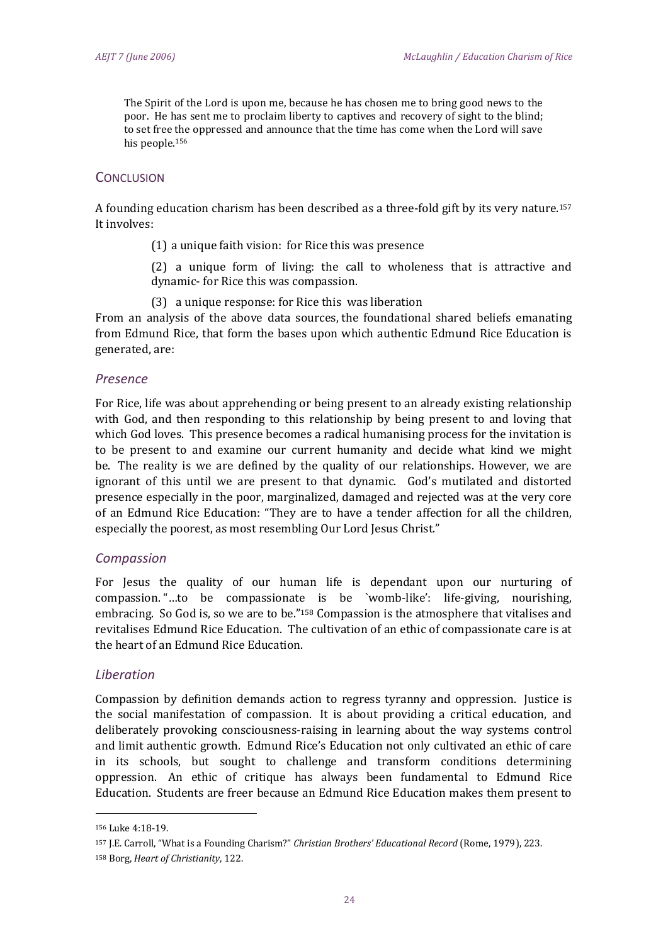The Spirit of the Lord is upon me, because he has chosen me to bring good news to the poor. He has sent me to proclaim liberty to captives and recovery of sight to the blind; to set free the oppressed and announce that the time has come when the Lord will save his people.<sup>156</sup>

# **CONCLUSION**

A founding education charism has been described as a three-fold gift by its very nature.<sup>157</sup> It involves:

(1) a unique faith vision: for Rice this was presence

(2) a unique form of living: the call to wholeness that is attractive and dynamic- for Rice this was compassion.

(3) a unique response: for Rice this was liberation

From an analysis of the above data sources, the foundational shared beliefs emanating from Edmund Rice, that form the bases upon which authentic Edmund Rice Education is generated, are:

#### *Presence*

For Rice, life was about apprehending or being present to an already existing relationship with God, and then responding to this relationship by being present to and loving that which God loves. This presence becomes a radical humanising process for the invitation is to be present to and examine our current humanity and decide what kind we might be. The reality is we are defined by the quality of our relationships. However, we are ignorant of this until we are present to that dynamic. God's mutilated and distorted presence especially in the poor, marginalized, damaged and rejected was at the very core of an Edmund Rice Education: "They are to have a tender affection for all the children, especially the poorest, as most resembling Our Lord Jesus Christ."

# *Compassion*

For Jesus the quality of our human life is dependant upon our nurturing of compassion. "…to be compassionate is be `womb-like': life-giving, nourishing, embracing. So God is, so we are to be."<sup>158</sup> Compassion is the atmosphere that vitalises and revitalises Edmund Rice Education. The cultivation of an ethic of compassionate care is at the heart of an Edmund Rice Education.

# *Liberation*

Compassion by definition demands action to regress tyranny and oppression. Justice is the social manifestation of compassion. It is about providing a critical education, and deliberately provoking consciousness-raising in learning about the way systems control and limit authentic growth. Edmund Rice's Education not only cultivated an ethic of care in its schools, but sought to challenge and transform conditions determining oppression. An ethic of critique has always been fundamental to Edmund Rice Education. Students are freer because an Edmund Rice Education makes them present to

.<br>-

<sup>156</sup> Luke 4:18-19.

<sup>157</sup> J.E. Carroll, "What is a Founding Charism?" *Christian Brothers' Educational Record* (Rome, 1979), 223.

<sup>158</sup> Borg, *Heart of Christianity*, 122.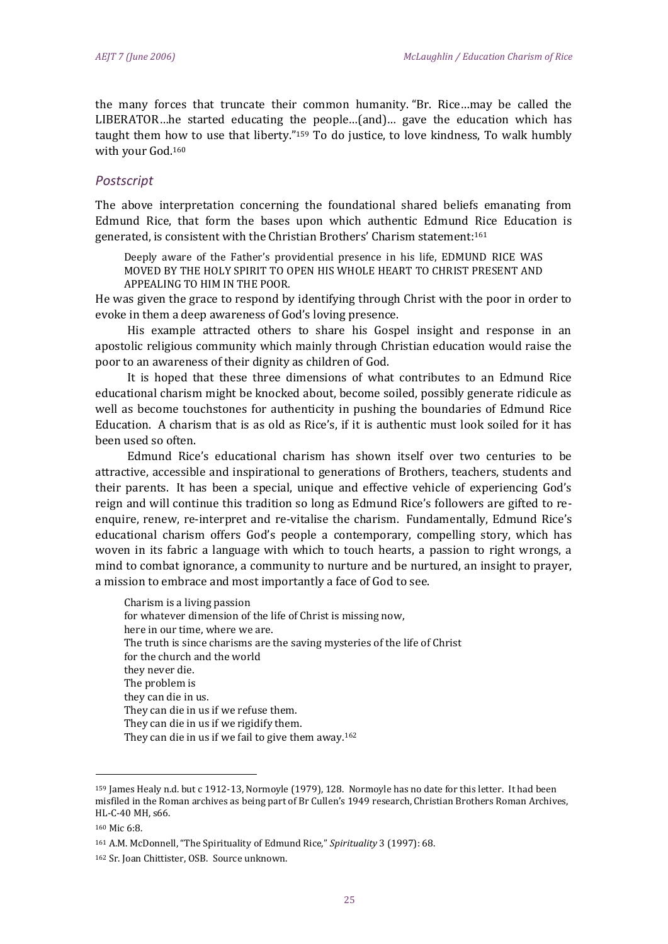the many forces that truncate their common humanity. "Br. Rice…may be called the LIBERATOR…he started educating the people…(and)… gave the education which has taught them how to use that liberty." <sup>159</sup> To do justice, to love kindness, To walk humbly with your God. 160

# *Postscript*

The above interpretation concerning the foundational shared beliefs emanating from Edmund Rice, that form the bases upon which authentic Edmund Rice Education is generated, is consistent with the Christian Brothers' Charism statement: 161

Deeply aware of the Father's providential presence in his life, EDMUND RICE WAS MOVED BY THE HOLY SPIRIT TO OPEN HIS WHOLE HEART TO CHRIST PRESENT AND APPEALING TO HIM IN THE POOR.

He was given the grace to respond by identifying through Christ with the poor in order to evoke in them a deep awareness of God's loving presence.

His example attracted others to share his Gospel insight and response in an apostolic religious community which mainly through Christian education would raise the poor to an awareness of their dignity as children of God.

It is hoped that these three dimensions of what contributes to an Edmund Rice educational charism might be knocked about, become soiled, possibly generate ridicule as well as become touchstones for authenticity in pushing the boundaries of Edmund Rice Education. A charism that is as old as Rice's, if it is authentic must look soiled for it has been used so often.

Edmund Rice's educational charism has shown itself over two centuries to be attractive, accessible and inspirational to generations of Brothers, teachers, students and their parents. It has been a special, unique and effective vehicle of experiencing God's reign and will continue this tradition so long as Edmund Rice's followers are gifted to reenquire, renew, re-interpret and re-vitalise the charism. Fundamentally, Edmund Rice's educational charism offers God's people a contemporary, compelling story, which has woven in its fabric a language with which to touch hearts, a passion to right wrongs, a mind to combat ignorance, a community to nurture and be nurtured, an insight to prayer, a mission to embrace and most importantly a face of God to see.

Charism is a living passion for whatever dimension of the life of Christ is missing now, here in our time, where we are. The truth is since charisms are the saving mysteries of the life of Christ for the church and the world they never die. The problem is they can die in us. They can die in us if we refuse them. They can die in us if we rigidify them. They can die in us if we fail to give them away.<sup>162</sup>

<sup>159</sup> James Healy n.d. but c 1912-13, Normoyle (1979), 128. Normoyle has no date for this letter. It had been misfiled in the Roman archives as being part of Br Cullen's 1949 research, Christian Brothers Roman Archives, HL-C-40 MH, s66.

<sup>160</sup> Mic 6:8.

<sup>161</sup> A.M. McDonnell, "The Spirituality of Edmund Rice," *Spirituality* 3 (1997): 68.

<sup>162</sup> Sr. Joan Chittister, OSB. Source unknown.